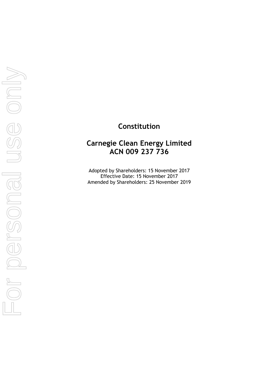# **Constitution**

# **Carnegie Clean Energy Limited ACN 009 237 736**

Adopted by Shareholders: 15 November 2017 Effective Date: 15 November 2017 Amended by Shareholders: 25 November 2019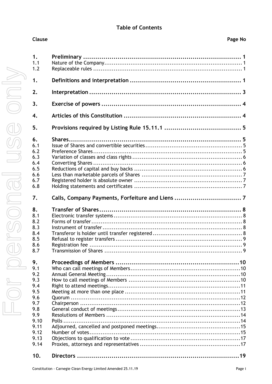## **Table of Contents**

| 1.<br>1.1<br>1.2 |                                                  |  |
|------------------|--------------------------------------------------|--|
| 1.               |                                                  |  |
| 2.               |                                                  |  |
| 3.               |                                                  |  |
| $\overline{4}$ . |                                                  |  |
| 5.               |                                                  |  |
| 6.               |                                                  |  |
| 6.1              |                                                  |  |
| 6.2              |                                                  |  |
| 6.3              |                                                  |  |
| 6.4              |                                                  |  |
| 6.5              |                                                  |  |
| 6.6              |                                                  |  |
| 6.7              |                                                  |  |
| 6.8              |                                                  |  |
| 7.               | Calls, Company Payments, Forfeiture and Liens  7 |  |
| 8.               |                                                  |  |
| 8.1              |                                                  |  |
| 8.2              |                                                  |  |
| 8.3              |                                                  |  |
| 8.4              |                                                  |  |
| 8.5              |                                                  |  |
| 8.6              |                                                  |  |
| 8.7              |                                                  |  |
| 9.               |                                                  |  |
| 9.1              |                                                  |  |
| 9.2              |                                                  |  |
| 9.3              |                                                  |  |
| 9.4              |                                                  |  |
| 9.5              |                                                  |  |
| 9.6              |                                                  |  |
|                  |                                                  |  |
| 9.7              |                                                  |  |
| 9.8              |                                                  |  |
| 9.9              |                                                  |  |
| 9.10             |                                                  |  |
| 9.11             |                                                  |  |
| 9.12             |                                                  |  |
| 9.13             |                                                  |  |
| 9.14             |                                                  |  |
| 10.              |                                                  |  |

Clause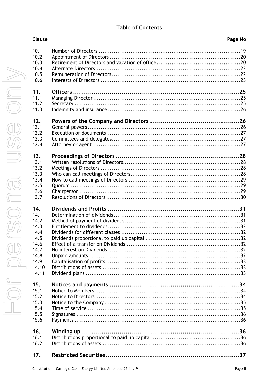## **Table of Contents**

| <b>Clause</b> | Page No |
|---------------|---------|
| 10.1          |         |
| 10.2          |         |
| 10.3          |         |
| 10.4          |         |
| 10.5          |         |
| 10.6          |         |
|               |         |
| 11.           |         |
| 11.1          |         |
| 11.2          |         |
| 11.3          |         |
| 12.           |         |
| 12.1          |         |
| 12.2          |         |
| 12.3          |         |
| 12.4          |         |
| 13.           |         |
| 13.1          |         |
| 13.2          |         |
| 13.3          |         |
| 13.4          |         |
| 13.5          |         |
| 13.6          |         |
| 13.7          |         |
| 14.           |         |
| 14.1          |         |
| 14.2          |         |
| 14.3          |         |
| 14.4          |         |
| 14.5          |         |
| 14.6          |         |
| 14.7          |         |
| 14.8          |         |
| 14.9          |         |
| 14.10         |         |
| 14.11         |         |
|               |         |
| 15.           |         |
| 15.1          |         |
| 15.2          |         |
| 15.3          |         |
| 15.4          |         |
| 15.5          |         |
| 15.6          |         |
| 16.           |         |
| 16.1          |         |
| 16.2          |         |
| 17.           |         |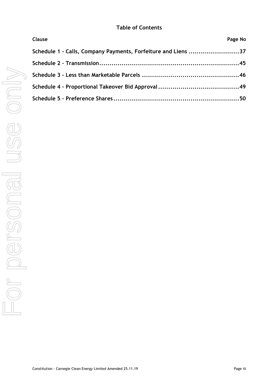## **Table of Contents**

| Clause                                                        | Page No |
|---------------------------------------------------------------|---------|
| Schedule 1 - Calls, Company Payments, Forfeiture and Liens 37 |         |
|                                                               |         |
|                                                               |         |
|                                                               |         |
|                                                               |         |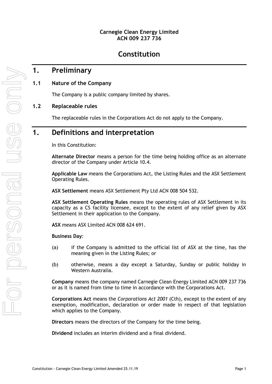## **Carnegie Clean Energy Limited ACN 009 237 736**

# **Constitution**

## <span id="page-4-0"></span>**1. Preliminary**

## <span id="page-4-1"></span>**1.1 Nature of the Company**

The Company is a public company limited by shares.

## <span id="page-4-2"></span>**1.2 Replaceable rules**

The replaceable rules in the Corporations Act do not apply to the Company.

# <span id="page-4-3"></span>**1. Definitions and interpretation**

In this Constitution:

**Alternate Director** means a person for the time being holding office as an alternate director of the Company under Article [10.4.](#page-25-0)

**Applicable Law** means the Corporations Act, the Listing Rules and the ASX Settlement Operating Rules.

**ASX Settlement** means ASX Settlement Pty Ltd ACN 008 504 532.

**ASX Settlement Operating Rules** means the operating rules of ASX Settlement in its capacity as a CS facility licensee, except to the extent of any relief given by ASX Settlement in their application to the Company.

**ASX** means ASX Limited ACN 008 624 691.

#### **Business Day**:

- (a) if the Company is admitted to the official list of ASX at the time, has the meaning given in the Listing Rules; or
- (b) otherwise, means a day except a Saturday, Sunday or public holiday in Western Australia.

**Company** means the company named Carnegie Clean Energy Limited ACN 009 237 736 or as it is named from time to time in accordance with the Corporations Act.

**Corporations Act** means the *Corporations Act 2001* (Cth), except to the extent of any exemption, modification, declaration or order made in respect of that legislation which applies to the Company.

**Directors** means the directors of the Company for the time being.

**Dividend** includes an interim dividend and a final dividend.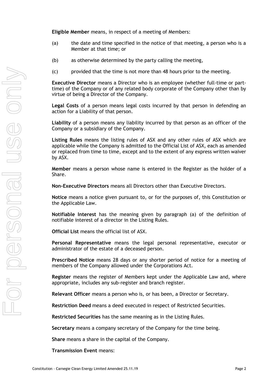**Eligible Member** means, in respect of a meeting of Members:

- (a) the date and time specified in the notice of that meeting, a person who is a Member at that time; or
- (b) as otherwise determined by the party calling the meeting,
- (c) provided that the time is not more than 48 hours prior to the meeting.

**Executive Director** means a Director who is an employee (whether full-time or parttime) of the Company or of any related body corporate of the Company other than by virtue of being a Director of the Company.

**Legal Costs** of a person means legal costs incurred by that person in defending an action for a Liability of that person.

**Liability** of a person means any liability incurred by that person as an officer of the Company or a subsidiary of the Company.

**Listing Rules** means the listing rules of ASX and any other rules of ASX which are applicable while the Company is admitted to the Official List of ASX, each as amended or replaced from time to time, except and to the extent of any express written waiver by ASX.

**Member** means a person whose name is entered in the Register as the holder of a Share.

**Non-Executive Directors** means all Directors other than Executive Directors.

**Notice** means a notice given pursuant to, or for the purposes of, this Constitution or the Applicable Law.

**Notifiable Interest** has the meaning given by paragraph (a) of the definition of notifiable interest of a director in the Listing Rules.

**Official List** means the official list of ASX.

**Personal Representative** means the legal personal representative, executor or administrator of the estate of a deceased person.

**Prescribed Notice** means 28 days or any shorter period of notice for a meeting of members of the Company allowed under the Corporations Act.

**Register** means the register of Members kept under the Applicable Law and, where appropriate, includes any sub-register and branch register.

**Relevant Officer** means a person who is, or has been, a Director or Secretary.

**Restriction Deed** means a deed executed in respect of Restricted Securities.

**Restricted Securities** has the same meaning as in the Listing Rules.

**Secretary** means a company secretary of the Company for the time being.

**Share** means a share in the capital of the Company.

**Transmission Event** means: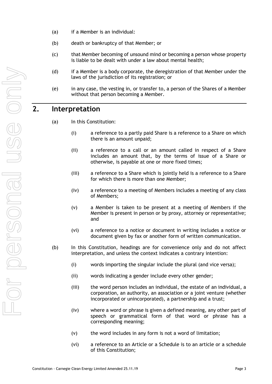- (a) if a Member is an individual:
- (b) death or bankruptcy of that Member; or
- (c) that Member becoming of unsound mind or becoming a person whose property is liable to be dealt with under a law about mental health;
- (d) if a Member is a body corporate, the deregistration of that Member under the laws of the jurisdiction of its registration; or
- (e) in any case, the vesting in, or transfer to, a person of the Shares of a Member without that person becoming a Member.

# <span id="page-6-0"></span>**2. Interpretation**

- (a) In this Constitution:
	- (i) a reference to a partly paid Share is a reference to a Share on which there is an amount unpaid;
	- (ii) a reference to a call or an amount called in respect of a Share includes an amount that, by the terms of issue of a Share or otherwise, is payable at one or more fixed times;
	- (iii) a reference to a Share which is jointly held is a reference to a Share for which there is more than one Member;
	- (iv) a reference to a meeting of Members includes a meeting of any class of Members;
	- (v) a Member is taken to be present at a meeting of Members if the Member is present in person or by proxy, attorney or representative; and
	- (vi) a reference to a notice or document in writing includes a notice or document given by fax or another form of written communication.
- (b) In this Constitution, headings are for convenience only and do not affect interpretation, and unless the context indicates a contrary intention:
	- (i) words importing the singular include the plural (and vice versa);
	- (ii) words indicating a gender include every other gender;
	- (iii) the word person includes an individual, the estate of an individual, a corporation, an authority, an association or a joint venture (whether incorporated or unincorporated), a partnership and a trust;
	- (iv) where a word or phrase is given a defined meaning, any other part of speech or grammatical form of that word or phrase has a corresponding meaning;
	- (v) the word includes in any form is not a word of limitation;
	- (vi) a reference to an Article or a Schedule is to an article or a schedule of this Constitution;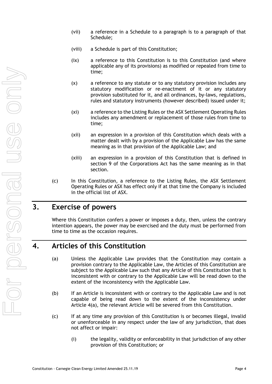- (vii) a reference in a Schedule to a paragraph is to a paragraph of that Schedule;
- (viii) a Schedule is part of this Constitution;
- (ix) a reference to this Constitution is to this Constitution (and where applicable any of its provisions) as modified or repealed from time to time;
- (x) a reference to any statute or to any statutory provision includes any statutory modification or re-enactment of it or any statutory provision substituted for it, and all ordinances, by-laws, regulations, rules and statutory instruments (however described) issued under it;
- (xi) a reference to the Listing Rules or the ASX Settlement Operating Rules includes any amendment or replacement of those rules from time to time;
- (xii) an expression in a provision of this Constitution which deals with a matter dealt with by a provision of the Applicable Law has the same meaning as in that provision of the Applicable Law; and
- (xiii) an expression in a provision of this Constitution that is defined in section 9 of the Corporations Act has the same meaning as in that section.
- (c) In this Constitution, a reference to the Listing Rules, the ASX Settlement Operating Rules or ASX has effect only if at that time the Company is included in the official list of ASX.

# <span id="page-7-0"></span>**3. Exercise of powers**

Where this Constitution confers a power or imposes a duty, then, unless the contrary intention appears, the power may be exercised and the duty must be performed from time to time as the occasion requires.

## <span id="page-7-2"></span><span id="page-7-1"></span>**4. Articles of this Constitution**

- (a) Unless the Applicable Law provides that the Constitution may contain a provision contrary to the Applicable Law, the Articles of this Constitution are subject to the Applicable Law such that any Article of this Constitution that is inconsistent with or contrary to the Applicable Law will be read down to the extent of the inconsistency with the Applicable Law.
- (b) If an Article is inconsistent with or contrary to the Applicable Law and is not capable of being read down to the extent of the inconsistency under Article [4\(a\),](#page-7-2) the relevant Article will be severed from this Constitution.
- (c) If at any time any provision of this Constitution is or becomes illegal, invalid or unenforceable in any respect under the law of any jurisdiction, that does not affect or impair:
	- (i) the legality, validity or enforceability in that jurisdiction of any other provision of this Constitution; or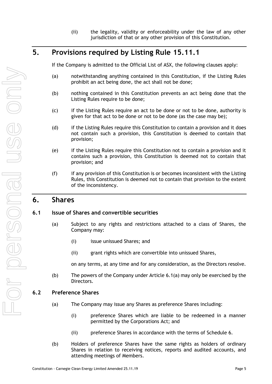(ii) the legality, validity or enforceability under the law of any other jurisdiction of that or any other provision of this Constitution.

# <span id="page-8-0"></span>**5. Provisions required by Listing Rule 15.11.1**

If the Company is admitted to the Official List of ASX, the following clauses apply:

- (a) notwithstanding anything contained in this Constitution, if the Listing Rules prohibit an act being done, the act shall not be done;
- (b) nothing contained in this Constitution prevents an act being done that the Listing Rules require to be done;
- (c) if the Listing Rules require an act to be done or not to be done, authority is given for that act to be done or not to be done (as the case may be);
- (d) if the Listing Rules require this Constitution to contain a provision and it does not contain such a provision, this Constitution is deemed to contain that provision;
- (e) if the Listing Rules require this Constitution not to contain a provision and it contains such a provision, this Constitution is deemed not to contain that provision; and
- (f) if any provision of this Constitution is or becomes inconsistent with the Listing Rules, this Constitution is deemed not to contain that provision to the extent of the inconsistency.

## <span id="page-8-1"></span>**6. Shares**

## <span id="page-8-4"></span><span id="page-8-2"></span>**6.1 Issue of Shares and convertible securities**

- (a) Subject to any rights and restrictions attached to a class of Shares, the Company may:
	- (i) issue unissued Shares; and
	- (ii) grant rights which are convertible into unissued Shares,

on any terms, at any time and for any consideration, as the Directors resolve.

(b) The powers of the Company under Article [6.1\(a\)](#page-8-4) may only be exercised by the Directors.

## <span id="page-8-3"></span>**6.2 Preference Shares**

- (a) The Company may issue any Shares as preference Shares including:
	- (i) preference Shares which are liable to be redeemed in a manner permitted by the Corporations Act; and
	- (ii) preference Shares in accordance with the terms of [Schedule](#page-53-0) 6.
- <span id="page-8-5"></span>(b) Holders of preference Shares have the same rights as holders of ordinary Shares in relation to receiving notices, reports and audited accounts, and attending meetings of Members.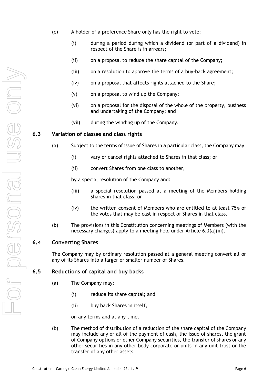- <span id="page-9-4"></span>(c) A holder of a preference Share only has the right to vote:
	- (i) during a period during which a dividend (or part of a dividend) in respect of the Share is in arrears;
	- (ii) on a proposal to reduce the share capital of the Company;
	- (iii) on a resolution to approve the terms of a buy-back agreement;
	- (iv) on a proposal that affects rights attached to the Share;
	- (v) on a proposal to wind up the Company;
	- (vi) on a proposal for the disposal of the whole of the property, business and undertaking of the Company; and
	- (vii) during the winding up of the Company.

## <span id="page-9-0"></span>**6.3 Variation of classes and class rights**

- (a) Subject to the terms of issue of Shares in a particular class, the Company may:
	- (i) vary or cancel rights attached to Shares in that class; or
	- (ii) convert Shares from one class to another,

<span id="page-9-3"></span>by a special resolution of the Company and:

- (iii) a special resolution passed at a meeting of the Members holding Shares in that class; or
- (iv) the written consent of Members who are entitled to at least 75% of the votes that may be cast in respect of Shares in that class.
- (b) The provisions in this Constitution concerning meetings of Members (with the necessary changes) apply to a meeting held under Article [6.3\(a\)\(iii\).](#page-9-3)

## <span id="page-9-1"></span>**6.4 Converting Shares**

The Company may by ordinary resolution passed at a general meeting convert all or any of its Shares into a larger or smaller number of Shares.

## <span id="page-9-2"></span>**6.5 Reductions of capital and buy backs**

- (a) The Company may:
	- (i) reduce its share capital; and
	- (ii) buy back Shares in itself,

on any terms and at any time.

(b) The method of distribution of a reduction of the share capital of the Company may include any or all of the payment of cash, the issue of shares, the grant of Company options or other Company securities, the transfer of shares or any other securities in any other body corporate or units in any unit trust or the transfer of any other assets.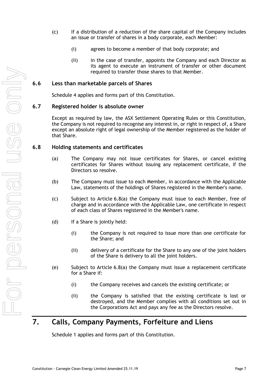- (c) If a distribution of a reduction of the share capital of the Company includes an issue or transfer of shares in a body corporate, each Member:
	- (i) agrees to become a member of that body corporate; and
	- (ii) in the case of transfer, appoints the Company and each Director as its agent to execute an instrument of transfer or other document required to transfer those shares to that Member.

### <span id="page-10-0"></span>**6.6 Less than marketable parcels of Shares**

[Schedule](#page-49-0) 4 applies and forms part of this Constitution.

#### <span id="page-10-1"></span>**6.7 Registered holder is absolute owner**

Except as required by law, the ASX Settlement Operating Rules or this Constitution, the Company is not required to recognise any interest in, or right in respect of, a Share except an absolute right of legal ownership of the Member registered as the holder of that Share.

#### <span id="page-10-4"></span><span id="page-10-2"></span>**6.8 Holding statements and certificates**

- (a) The Company may not issue certificates for Shares, or cancel existing certificates for Shares without issuing any replacement certificate, if the Directors so resolve.
- (b) The Company must issue to each Member, in accordance with the Applicable Law, statements of the holdings of Shares registered in the Member's name.
- (c) Subject to Article [6.8\(a\)](#page-10-4) the Company must issue to each Member, free of charge and in accordance with the Applicable Law, one certificate in respect of each class of Shares registered in the Member's name.
- (d) If a Share is jointly held:
	- (i) the Company is not required to issue more than one certificate for the Share; and
	- (ii) delivery of a certificate for the Share to any one of the joint holders of the Share is delivery to all the joint holders.
- (e) Subject to Article [6.8\(a\)](#page-10-4) the Company must issue a replacement certificate for a Share if:
	- (i) the Company receives and cancels the existing certificate; or
	- (ii) the Company is satisfied that the existing certificate is lost or destroyed, and the Member complies with all conditions set out in the Corporations Act and pays any fee as the Directors resolve.

# <span id="page-10-3"></span>**7. Calls, Company Payments, Forfeiture and Liens**

[Schedule](#page-40-1) 1 applies and forms part of this Constitution.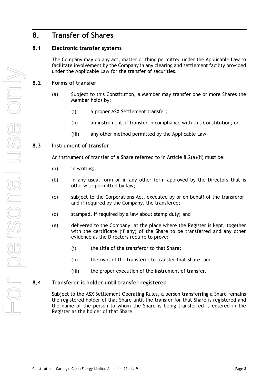# <span id="page-11-0"></span>**8. Transfer of Shares**

## <span id="page-11-1"></span>**8.1 Electronic transfer systems**

The Company may do any act, matter or thing permitted under the Applicable Law to facilitate involvement by the Company in any clearing and settlement facility provided under the Applicable Law for the transfer of securities.

## <span id="page-11-2"></span>**8.2 Forms of transfer**

- (a) Subject to this Constitution, a Member may transfer one or more Shares the Member holds by:
	- (i) a proper ASX Settlement transfer;
	- (ii) an instrument of transfer in compliance with this Constitution; or
	- (iii) any other method permitted by the Applicable Law.

## <span id="page-11-5"></span><span id="page-11-3"></span>**8.3 Instrument of transfer**

An instrument of transfer of a Share referred to in Article [8.2\(a\)\(ii\)](#page-11-5) must be:

- (a) in writing;
- (b) in any usual form or in any other form approved by the Directors that is otherwise permitted by law;
- (c) subject to the Corporations Act, executed by or on behalf of the transferor, and if required by the Company, the transferee;
- (d) stamped, if required by a law about stamp duty; and
- (e) delivered to the Company, at the place where the Register is kept, together with the certificate (if any) of the Share to be transferred and any other evidence as the Directors require to prove:
	- (i) the title of the transferor to that Share;
	- (ii) the right of the transferor to transfer that Share; and
	- (iii) the proper execution of the instrument of transfer.

#### <span id="page-11-4"></span>**8.4 Transferor is holder until transfer registered**

Subject to the ASX Settlement Operating Rules, a person transferring a Share remains the registered holder of that Share until the transfer for that Share is registered and the name of the person to whom the Share is being transferred is entered in the Register as the holder of that Share.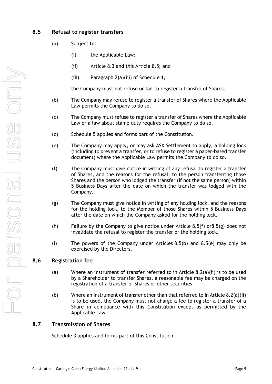## <span id="page-12-0"></span>**8.5 Refusal to register transfers**

- (a) Subject to:
	- (i) the Applicable Law;
	- (ii) Article [8.3](#page-11-3) and this Article [8.5;](#page-12-0) and
	- (iii) Paragraph [2\(a\)\(iii\)](#page-41-0) of Schedule 1,

the Company must not refuse or fail to register a transfer of Shares.

- <span id="page-12-5"></span>(b) The Company may refuse to register a transfer of Shares where the Applicable Law permits the Company to do so.
- (c) The Company must refuse to register a transfer of Shares where the Applicable Law or a law about stamp duty requires the Company to do so.
- (d) [Schedule](#page-52-0) 5 applies and forms part of the Constitution.
- <span id="page-12-6"></span>(e) The Company may apply, or may ask ASX Settlement to apply, a holding lock (including to prevent a transfer, or to refuse to register a paper-based transfer document) where the Applicable Law permits the Company to do so.
- <span id="page-12-3"></span>(f) The Company must give notice in writing of any refusal to register a transfer of Shares, and the reasons for the refusal, to the person transferring those Shares and the person who lodged the transfer (if not the same person) within 5 Business Days after the date on which the transfer was lodged with the Company.
- <span id="page-12-4"></span>(g) The Company must give notice in writing of any holding lock, and the reasons for the holding lock, to the Member of those Shares within 5 Business Days after the date on which the Company asked for the holding lock.
- (h) Failure by the Company to give notice under Article  $8.5(f)$  or $8.5(g)$  does not invalidate the refusal to register the transfer or the holding lock.
- (i) The powers of the Company under Articles [8.5\(b\)](#page-12-5) and [8.5\(e\)](#page-12-6) may only be exercised by the Directors.

## <span id="page-12-1"></span>**8.6 Registration fee**

- (a) Where an instrument of transfer referred to in Article [8.2\(a\)\(ii\)](#page-11-5) is to be used by a Shareholder to transfer Shares, a reasonable fee may be charged on the registration of a transfer of Shares or other securities.
- (b) Where an instrument of transfer other than that referred to in Article [8.2\(a\)\(ii\)](#page-11-5) is to be used, the Company must not charge a fee to register a transfer of a Share in compliance with this Constitution except as permitted by the Applicable Law.

## <span id="page-12-2"></span>**8.7 Transmission of Shares**

[Schedule](#page-48-0) 3 applies and forms part of this Constitution.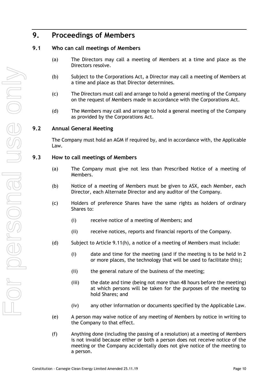# <span id="page-13-0"></span>**9. Proceedings of Members**

## <span id="page-13-1"></span>**9.1 Who can call meetings of Members**

- (a) The Directors may call a meeting of Members at a time and place as the Directors resolve.
- (b) Subject to the Corporations Act, a Director may call a meeting of Members at a time and place as that Director determines.
- <span id="page-13-4"></span>(c) The Directors must call and arrange to hold a general meeting of the Company on the request of Members made in accordance with the Corporations Act.
- <span id="page-13-5"></span>(d) The Members may call and arrange to hold a general meeting of the Company as provided by the Corporations Act.

## <span id="page-13-2"></span>**9.2 Annual General Meeting**

The Company must hold an AGM if required by, and in accordance with, the Applicable Law.

## <span id="page-13-3"></span>**9.3 How to call meetings of Members**

- (a) The Company must give not less than Prescribed Notice of a meeting of Members.
- (b) Notice of a meeting of Members must be given to ASX, each Member, each Director, each Alternate Director and any auditor of the Company.
- (c) Holders of preference Shares have the same rights as holders of ordinary Shares to:
	- (i) receive notice of a meeting of Members; and
	- (ii) receive notices, reports and financial reports of the Company.
- (d) Subject to Article [9.11\(h\),](#page-18-2) a notice of a meeting of Members must include:
	- (i) date and time for the meeting (and if the meeting is to be held in 2 or more places, the technology that will be used to facilitate this);
	- (ii) the general nature of the business of the meeting;
	- (iii) the date and time (being not more than 48 hours before the meeting) at which persons will be taken for the purposes of the meeting to hold Shares; and
	- (iv) any other information or documents specified by the Applicable Law.
- (e) A person may waive notice of any meeting of Members by notice in writing to the Company to that effect.
- (f) Anything done (including the passing of a resolution) at a meeting of Members is not invalid because either or both a person does not receive notice of the meeting or the Company accidentally does not give notice of the meeting to a person.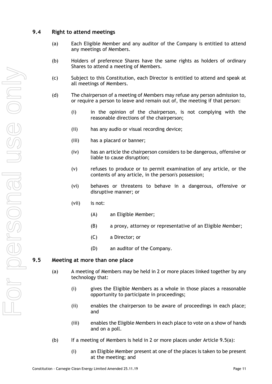## <span id="page-14-0"></span>**9.4 Right to attend meetings**

- (a) Each Eligible Member and any auditor of the Company is entitled to attend any meetings of Members.
- (b) Holders of preference Shares have the same rights as holders of ordinary Shares to attend a meeting of Members.
- (c) Subject to this Constitution, each Director is entitled to attend and speak at all meetings of Members.
- (d) The chairperson of a meeting of Members may refuse any person admission to, or require a person to leave and remain out of, the meeting if that person:
	- (i) in the opinion of the chairperson, is not complying with the reasonable directions of the chairperson;
	- (ii) has any audio or visual recording device;
	- (iii) has a placard or banner;
	- (iv) has an article the chairperson considers to be dangerous, offensive or liable to cause disruption;
	- (v) refuses to produce or to permit examination of any article, or the contents of any article, in the person's possession;
	- (vi) behaves or threatens to behave in a dangerous, offensive or disruptive manner; or
	- (vii) is not:
		- (A) an Eligible Member;
		- (B) a proxy, attorney or representative of an Eligible Member;
		- (C) a Director; or
		- (D) an auditor of the Company.

## <span id="page-14-2"></span><span id="page-14-1"></span>**9.5 Meeting at more than one place**

- (a) A meeting of Members may be held in 2 or more places linked together by any technology that:
	- (i) gives the Eligible Members as a whole in those places a reasonable opportunity to participate in proceedings;
	- (ii) enables the chairperson to be aware of proceedings in each place; and
	- (iii) enables the Eligible Members in each place to vote on a show of hands and on a poll.
- (b) If a meeting of Members is held in 2 or more places under Article  $9.5(a)$ :
	- (i) an Eligible Member present at one of the places is taken to be present at the meeting; and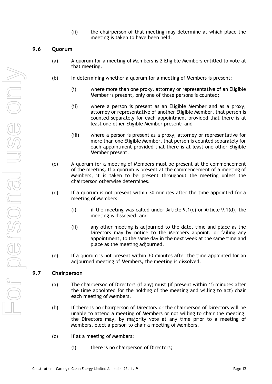(ii) the chairperson of that meeting may determine at which place the meeting is taken to have been held.

## <span id="page-15-0"></span>**9.6 Quorum**

- (a) A quorum for a meeting of Members is 2 Eligible Members entitled to vote at that meeting.
- (b) In determining whether a quorum for a meeting of Members is present:
	- (i) where more than one proxy, attorney or representative of an Eligible Member is present, only one of those persons is counted;
	- (ii) where a person is present as an Eligible Member and as a proxy, attorney or representative of another Eligible Member, that person is counted separately for each appointment provided that there is at least one other Eligible Member present; and
	- (iii) where a person is present as a proxy, attorney or representative for more than one Eligible Member, that person is counted separately for each appointment provided that there is at least one other Eligible Member present.
- (c) A quorum for a meeting of Members must be present at the commencement of the meeting. If a quorum is present at the commencement of a meeting of Members, it is taken to be present throughout the meeting unless the chairperson otherwise determines.
- (d) If a quorum is not present within 30 minutes after the time appointed for a meeting of Members:
	- (i) if the meeting was called under Article [9.1\(c\)](#page-13-4) or Article [9.1\(d\),](#page-13-5) the meeting is dissolved; and
	- (ii) any other meeting is adjourned to the date, time and place as the Directors may by notice to the Members appoint, or failing any appointment, to the same day in the next week at the same time and place as the meeting adjourned.
- (e) If a quorum is not present within 30 minutes after the time appointed for an adjourned meeting of Members, the meeting is dissolved.

## <span id="page-15-2"></span><span id="page-15-1"></span>**9.7 Chairperson**

- (a) The chairperson of Directors (if any) must (if present within 15 minutes after the time appointed for the holding of the meeting and willing to act) chair each meeting of Members.
- <span id="page-15-3"></span>(b) If there is no chairperson of Directors or the chairperson of Directors will be unable to attend a meeting of Members or not willing to chair the meeting, the Directors may, by majority vote at any time prior to a meeting of Members, elect a person to chair a meeting of Members.
- <span id="page-15-4"></span>(c) If at a meeting of Members:
	- (i) there is no chairperson of Directors;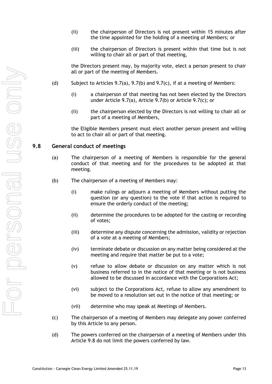- (ii) the chairperson of Directors is not present within 15 minutes after the time appointed for the holding of a meeting of Members; or
- (iii) the chairperson of Directors is present within that time but is not willing to chair all or part of that meeting,

the Directors present may, by majority vote, elect a person present to chair all or part of the meeting of Members.

- (d) Subject to Articles [9.7\(a\),](#page-15-2) [9.7\(b\)](#page-15-3) and [9.7\(c\),](#page-15-4) if at a meeting of Members:
	- (i) a chairperson of that meeting has not been elected by the Directors under Article [9.7\(a\),](#page-15-2) Article [9.7\(b\)](#page-15-3) or Article [9.7\(c\);](#page-15-4) or
	- (ii) the chairperson elected by the Directors is not willing to chair all or part of a meeting of Members,

the Eligible Members present must elect another person present and willing to act to chair all or part of that meeting.

#### <span id="page-16-0"></span>**9.8 General conduct of meetings**

- (a) The chairperson of a meeting of Members is responsible for the general conduct of that meeting and for the procedures to be adopted at that meeting.
- (b) The chairperson of a meeting of Members may:
	- (i) make rulings or adjourn a meeting of Members without putting the question (or any question) to the vote if that action is required to ensure the orderly conduct of the meeting;
	- (ii) determine the procedures to be adopted for the casting or recording of votes;
	- (iii) determine any dispute concerning the admission, validity or rejection of a vote at a meeting of Members;
	- (iv) terminate debate or discussion on any matter being considered at the meeting and require that matter be put to a vote;
	- (v) refuse to allow debate or discussion on any matter which is not business referred to in the notice of that meeting or is not business allowed to be discussed in accordance with the Corporations Act;
	- (vi) subject to the Corporations Act, refuse to allow any amendment to be moved to a resolution set out in the notice of that meeting; or
	- (vii) determine who may speak at Meetings of Members.
- (c) The chairperson of a meeting of Members may delegate any power conferred by this Article to any person.
- (d) The powers conferred on the chairperson of a meeting of Members under this Article [9.8](#page-16-0) do not limit the powers conferred by law.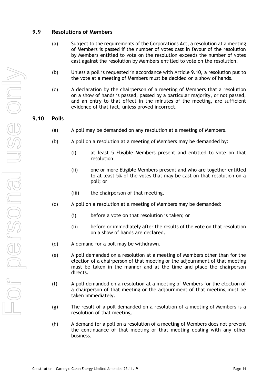## <span id="page-17-0"></span>**9.9 Resolutions of Members**

- (a) Subject to the requirements of the Corporations Act, a resolution at a meeting of Members is passed if the number of votes cast in favour of the resolution by Members entitled to vote on the resolution exceeds the number of votes cast against the resolution by Members entitled to vote on the resolution.
- (b) Unless a poll is requested in accordance with Article [9.10,](#page-17-1) a resolution put to the vote at a meeting of Members must be decided on a show of hands.
- (c) A declaration by the chairperson of a meeting of Members that a resolution on a show of hands is passed, passed by a particular majority, or not passed, and an entry to that effect in the minutes of the meeting, are sufficient evidence of that fact, unless proved incorrect.

## <span id="page-17-1"></span>**9.10 Polls**

- (a) A poll may be demanded on any resolution at a meeting of Members.
- (b) A poll on a resolution at a meeting of Members may be demanded by:
	- (i) at least 5 Eligible Members present and entitled to vote on that resolution;
	- (ii) one or more Eligible Members present and who are together entitled to at least 5% of the votes that may be cast on that resolution on a poll; or
	- (iii) the chairperson of that meeting.
- (c) A poll on a resolution at a meeting of Members may be demanded:
	- (i) before a vote on that resolution is taken; or
	- (ii) before or immediately after the results of the vote on that resolution on a show of hands are declared.
- (d) A demand for a poll may be withdrawn.
- (e) A poll demanded on a resolution at a meeting of Members other than for the election of a chairperson of that meeting or the adjournment of that meeting must be taken in the manner and at the time and place the chairperson directs.
- (f) A poll demanded on a resolution at a meeting of Members for the election of a chairperson of that meeting or the adjournment of that meeting must be taken immediately.
- (g) The result of a poll demanded on a resolution of a meeting of Members is a resolution of that meeting.
- (h) A demand for a poll on a resolution of a meeting of Members does not prevent the continuance of that meeting or that meeting dealing with any other business.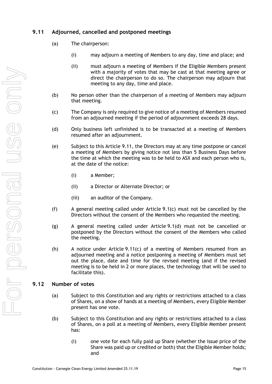## <span id="page-18-0"></span>**9.11 Adjourned, cancelled and postponed meetings**

- (a) The chairperson:
	- (i) may adjourn a meeting of Members to any day, time and place; and
	- (ii) must adjourn a meeting of Members if the Eligible Members present with a majority of votes that may be cast at that meeting agree or direct the chairperson to do so. The chairperson may adjourn that meeting to any day, time and place.
- (b) No person other than the chairperson of a meeting of Members may adjourn that meeting.
- <span id="page-18-3"></span>(c) The Company is only required to give notice of a meeting of Members resumed from an adjourned meeting if the period of adjournment exceeds 28 days.
- (d) Only business left unfinished is to be transacted at a meeting of Members resumed after an adjournment.
- (e) Subject to this Article [9.11,](#page-18-0) the Directors may at any time postpone or cancel a meeting of Members by giving notice not less than 5 Business Days before the time at which the meeting was to be held to ASX and each person who is, at the date of the notice:
	- (i) a Member;
	- (ii) a Director or Alternate Director; or
	- (iii) an auditor of the Company.
- (f) A general meeting called under Article [9.1\(c\)](#page-13-4) must not be cancelled by the Directors without the consent of the Members who requested the meeting.
- (g) A general meeting called under Article [9.1\(d\)](#page-13-5) must not be cancelled or postponed by the Directors without the consent of the Members who called the meeting.
- <span id="page-18-2"></span>(h) A notice under Article [9.11\(c\)](#page-18-3) of a meeting of Members resumed from an adjourned meeting and a notice postponing a meeting of Members must set out the place, date and time for the revised meeting (and if the revised meeting is to be held in 2 or more places, the technology that will be used to facilitate this).

## <span id="page-18-1"></span>**9.12 Number of votes**

- (a) Subject to this Constitution and any rights or restrictions attached to a class of Shares, on a show of hands at a meeting of Members, every Eligible Member present has one vote.
- (b) Subject to this Constitution and any rights or restrictions attached to a class of Shares, on a poll at a meeting of Members, every Eligible Member present has:
	- (i) one vote for each fully paid up Share (whether the issue price of the Share was paid up or credited or both) that the Eligible Member holds; and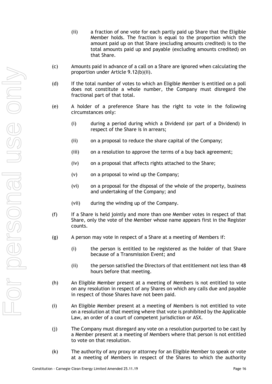- <span id="page-19-0"></span>(ii) a fraction of one vote for each partly paid up Share that the Eligible Member holds. The fraction is equal to the proportion which the amount paid up on that Share (excluding amounts credited) is to the total amounts paid up and payable (excluding amounts credited) on that Share.
- (c) Amounts paid in advance of a call on a Share are ignored when calculating the proportion under Article [9.12\(b\)\(ii\).](#page-19-0)
- (d) If the total number of votes to which an Eligible Member is entitled on a poll does not constitute a whole number, the Company must disregard the fractional part of that total.
- (e) A holder of a preference Share has the right to vote in the following circumstances only:
	- (i) during a period during which a Dividend (or part of a Dividend) in respect of the Share is in arrears;
	- (ii) on a proposal to reduce the share capital of the Company;
	- (iii) on a resolution to approve the terms of a buy back agreement;
	- (iv) on a proposal that affects rights attached to the Share;
	- (v) on a proposal to wind up the Company;
	- (vi) on a proposal for the disposal of the whole of the property, business and undertaking of the Company; and
	- (vii) during the winding up of the Company.
- (f) If a Share is held jointly and more than one Member votes in respect of that Share, only the vote of the Member whose name appears first in the Register counts.
- (g) A person may vote in respect of a Share at a meeting of Members if:
	- (i) the person is entitled to be registered as the holder of that Share because of a Transmission Event; and
	- (ii) the person satisfied the Directors of that entitlement not less than 48 hours before that meeting.
- (h) An Eligible Member present at a meeting of Members is not entitled to vote on any resolution in respect of any Shares on which any calls due and payable in respect of those Shares have not been paid.
- (i) An Eligible Member present at a meeting of Members is not entitled to vote on a resolution at that meeting where that vote is prohibited by the Applicable Law, an order of a court of competent jurisdiction or ASX.
- (j) The Company must disregard any vote on a resolution purported to be cast by a Member present at a meeting of Members where that person is not entitled to vote on that resolution.
- (k) The authority of any proxy or attorney for an Eligible Member to speak or vote at a meeting of Members in respect of the Shares to which the authority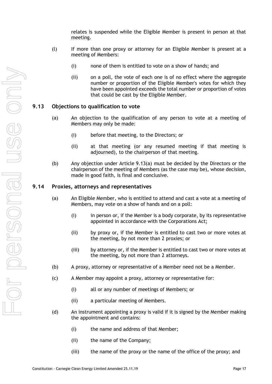relates is suspended while the Eligible Member is present in person at that meeting.

- (l) If more than one proxy or attorney for an Eligible Member is present at a meeting of Members:
	- (i) none of them is entitled to vote on a show of hands; and
	- (ii) on a poll, the vote of each one is of no effect where the aggregate number or proportion of the Eligible Member's votes for which they have been appointed exceeds the total number or proportion of votes that could be cast by the Eligible Member.

### <span id="page-20-2"></span><span id="page-20-0"></span>**9.13 Objections to qualification to vote**

- (a) An objection to the qualification of any person to vote at a meeting of Members may only be made:
	- (i) before that meeting, to the Directors; or
	- (ii) at that meeting (or any resumed meeting if that meeting is adjourned), to the chairperson of that meeting.
- (b) Any objection under Article [9.13\(a\)](#page-20-2) must be decided by the Directors or the chairperson of the meeting of Members (as the case may be), whose decision, made in good faith, is final and conclusive.

#### <span id="page-20-1"></span>**9.14 Proxies, attorneys and representatives**

- (a) An Eligible Member, who is entitled to attend and cast a vote at a meeting of Members, may vote on a show of hands and on a poll:
	- (i) in person or, if the Member is a body corporate, by its representative appointed in accordance with the Corporations Act;
	- (ii) by proxy or, if the Member is entitled to cast two or more votes at the meeting, by not more than 2 proxies; or
	- (iii) by attorney or, if the Member is entitled to cast two or more votes at the meeting, by not more than 2 attorneys.
- (b) A proxy, attorney or representative of a Member need not be a Member.
- (c) A Member may appoint a proxy, attorney or representative for:
	- (i) all or any number of meetings of Members; or
	- (ii) a particular meeting of Members.
- <span id="page-20-3"></span>(d) An instrument appointing a proxy is valid if it is signed by the Member making the appointment and contains:
	- (i) the name and address of that Member;
	- (ii) the name of the Company;
	- (iii) the name of the proxy or the name of the office of the proxy; and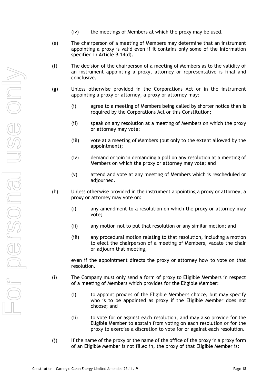- (iv) the meetings of Members at which the proxy may be used.
- (e) The chairperson of a meeting of Members may determine that an instrument appointing a proxy is valid even if it contains only some of the information specified in Article [9.14\(d\).](#page-20-3)
- (f) The decision of the chairperson of a meeting of Members as to the validity of an instrument appointing a proxy, attorney or representative is final and conclusive.
- (g) Unless otherwise provided in the Corporations Act or in the instrument appointing a proxy or attorney, a proxy or attorney may:
	- (i) agree to a meeting of Members being called by shorter notice than is required by the Corporations Act or this Constitution;
	- (ii) speak on any resolution at a meeting of Members on which the proxy or attorney may vote;
	- (iii) vote at a meeting of Members (but only to the extent allowed by the appointment);
	- (iv) demand or join in demanding a poll on any resolution at a meeting of Members on which the proxy or attorney may vote; and
	- (v) attend and vote at any meeting of Members which is rescheduled or adjourned.
- (h) Unless otherwise provided in the instrument appointing a proxy or attorney, a proxy or attorney may vote on:
	- (i) any amendment to a resolution on which the proxy or attorney may vote;
	- (ii) any motion not to put that resolution or any similar motion; and
	- (iii) any procedural motion relating to that resolution, including a motion to elect the chairperson of a meeting of Members, vacate the chair or adjourn that meeting,

even if the appointment directs the proxy or attorney how to vote on that resolution.

- (i) The Company must only send a form of proxy to Eligible Members in respect of a meeting of Members which provides for the Eligible Member:
	- (i) to appoint proxies of the Eligible Member's choice, but may specify who is to be appointed as proxy if the Eligible Member does not choose; and
	- (ii) to vote for or against each resolution, and may also provide for the Eligible Member to abstain from voting on each resolution or for the proxy to exercise a discretion to vote for or against each resolution.
- (j) If the name of the proxy or the name of the office of the proxy in a proxy form of an Eligible Member is not filled in, the proxy of that Eligible Member is: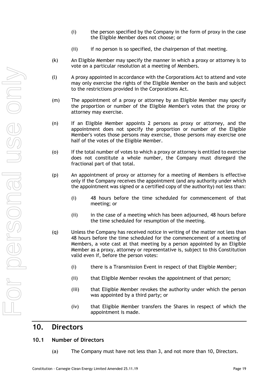- (i) the person specified by the Company in the form of proxy in the case the Eligible Member does not choose; or
- (ii) if no person is so specified, the chairperson of that meeting.
- (k) An Eligible Member may specify the manner in which a proxy or attorney is to vote on a particular resolution at a meeting of Members.
- (l) A proxy appointed in accordance with the Corporations Act to attend and vote may only exercise the rights of the Eligible Member on the basis and subject to the restrictions provided in the Corporations Act.
- (m) The appointment of a proxy or attorney by an Eligible Member may specify the proportion or number of the Eligible Member's votes that the proxy or attorney may exercise.
- (n) If an Eligible Member appoints 2 persons as proxy or attorney, and the appointment does not specify the proportion or number of the Eligible Member's votes those persons may exercise, those persons may exercise one half of the votes of the Eligible Member.
- (o) If the total number of votes to which a proxy or attorney is entitled to exercise does not constitute a whole number, the Company must disregard the fractional part of that total.
- (p) An appointment of proxy or attorney for a meeting of Members is effective only if the Company receives the appointment (and any authority under which the appointment was signed or a certified copy of the authority) not less than:
	- (i) 48 hours before the time scheduled for commencement of that meeting; or
	- (ii) in the case of a meeting which has been adjourned, 48 hours before the time scheduled for resumption of the meeting.
- (q) Unless the Company has received notice in writing of the matter not less than 48 hours before the time scheduled for the commencement of a meeting of Members, a vote cast at that meeting by a person appointed by an Eligible Member as a proxy, attorney or representative is, subject to this Constitution valid even if, before the person votes:
	- (i) there is a Transmission Event in respect of that Eligible Member;
	- (ii) that Eligible Member revokes the appointment of that person;
	- (iii) that Eligible Member revokes the authority under which the person was appointed by a third party; or
	- (iv) that Eligible Member transfers the Shares in respect of which the appointment is made.

## <span id="page-22-0"></span>**10. Directors**

## <span id="page-22-1"></span>**10.1 Number of Directors**

(a) The Company must have not less than 3, and not more than 10, Directors.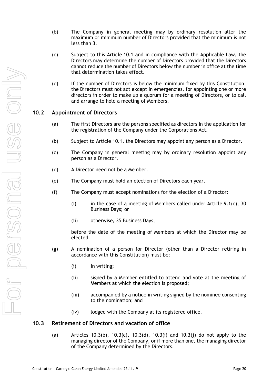- (b) The Company in general meeting may by ordinary resolution alter the maximum or minimum number of Directors provided that the minimum is not less than 3.
- (c) Subject to this Article [10.1](#page-22-1) and in compliance with the Applicable Law, the Directors may determine the number of Directors provided that the Directors cannot reduce the number of Directors below the number in office at the time that determination takes effect.
- (d) If the number of Directors is below the minimum fixed by this Constitution, the Directors must not act except in emergencies, for appointing one or more directors in order to make up a quorum for a meeting of Directors, or to call and arrange to hold a meeting of Members.

## <span id="page-23-0"></span>**10.2 Appointment of Directors**

- (a) The first Directors are the persons specified as directors in the application for the registration of the Company under the Corporations Act.
- <span id="page-23-2"></span>(b) Subject to Article [10.1,](#page-22-1) the Directors may appoint any person as a Director.
- (c) The Company in general meeting may by ordinary resolution appoint any person as a Director.
- (d) A Director need not be a Member.
- (e) The Company must hold an election of Directors each year.
- (f) The Company must accept nominations for the election of a Director:
	- (i) in the case of a meeting of Members called under Article [9.1\(c\),](#page-13-4) 30 Business Days; or
	- (ii) otherwise, 35 Business Days,

before the date of the meeting of Members at which the Director may be elected.

- (g) A nomination of a person for Director (other than a Director retiring in accordance with this Constitution) must be:
	- (i) in writing;
	- (ii) signed by a Member entitled to attend and vote at the meeting of Members at which the election is proposed;
	- (iii) accompanied by a notice in writing signed by the nominee consenting to the nomination; and
	- (iv) lodged with the Company at its registered office.

#### <span id="page-23-1"></span>**10.3 Retirement of Directors and vacation of office**

(a) Articles [10.3\(b\),](#page-24-0) [10.3\(c\),](#page-24-1) [10.3\(d\),](#page-24-2) [10.3\(i\)](#page-24-3) and [10.3\(j\)](#page-24-4) do not apply to the managing director of the Company, or if more than one, the managing director of the Company determined by the Directors.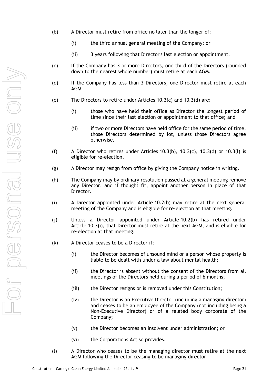- <span id="page-24-0"></span>(b) A Director must retire from office no later than the longer of:
	- (i) the third annual general meeting of the Company; or
	- (ii) 3 years following that Director's last election or appointment.
- <span id="page-24-1"></span>(c) If the Company has 3 or more Directors, one third of the Directors (rounded down to the nearest whole number) must retire at each AGM.
- <span id="page-24-2"></span>(d) If the Company has less than 3 Directors, one Director must retire at each AGM.
- (e) The Directors to retire under Articles [10.3\(c\)](#page-24-1) and [10.3\(d\)](#page-24-2) are:
	- (i) those who have held their office as Director the longest period of time since their last election or appointment to that office; and
	- (ii) if two or more Directors have held office for the same period of time, those Directors determined by lot, unless those Directors agree otherwise.
- (f) A Director who retires under Articles [10.3\(b\),](#page-24-0)  $10.3(c)$ ,  $10.3(d)$  or  $10.3(l)$  is eligible for re-election.
- (g) A Director may resign from office by giving the Company notice in writing.
- (h) The Company may by ordinary resolution passed at a general meeting remove any Director, and if thought fit, appoint another person in place of that Director.
- <span id="page-24-3"></span>(i) A Director appointed under Article [10.2\(b\)](#page-23-2) may retire at the next general meeting of the Company and is eligible for re-election at that meeting.
- <span id="page-24-4"></span>(j) Unless a Director appointed under Article [10.2\(b\)](#page-23-2) has retired under Article [10.3\(i\),](#page-24-3) that Director must retire at the next AGM, and is eligible for re-election at that meeting.
- <span id="page-24-6"></span>(k) A Director ceases to be a Director if:
	- (i) the Director becomes of unsound mind or a person whose property is liable to be dealt with under a law about mental health;
	- (ii) the Director is absent without the consent of the Directors from all meetings of the Directors held during a period of 6 months;
	- (iii) the Director resigns or is removed under this Constitution;
	- (iv) the Director is an Executive Director (including a managing director) and ceases to be an employee of the Company (not including being a Non-Executive Director) or of a related body corporate of the Company;
	- (v) the Director becomes an insolvent under administration; or
	- (vi) the Corporations Act so provides.
- <span id="page-24-5"></span>(l) A Director who ceases to be the managing director must retire at the next AGM following the Director ceasing to be managing director.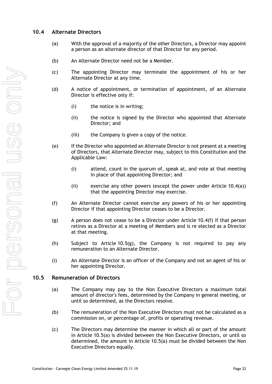## <span id="page-25-2"></span><span id="page-25-0"></span>**10.4 Alternate Directors**

- (a) With the approval of a majority of the other Directors, a Director may appoint a person as an alternate director of that Director for any period.
- (b) An Alternate Director need not be a Member.
- (c) The appointing Director may terminate the appointment of his or her Alternate Director at any time.
- (d) A notice of appointment, or termination of appointment, of an Alternate Director is effective only if:
	- (i) the notice is in writing;
	- (ii) the notice is signed by the Director who appointed that Alternate Director; and
	- (iii) the Company is given a copy of the notice.
- <span id="page-25-5"></span>(e) If the Director who appointed an Alternate Director is not present at a meeting of Directors, that Alternate Director may, subject to this Constitution and the Applicable Law:
	- (i) attend, count in the quorum of, speak at, and vote at that meeting in place of that appointing Director; and
	- (ii) exercise any other powers (except the power under Article [10.4\(a\)\)](#page-25-2) that the appointing Director may exercise.
- <span id="page-25-3"></span>(f) An Alternate Director cannot exercise any powers of his or her appointing Director if that appointing Director ceases to be a Director.
- (g) A person does not cease to be a Director under Article  $10.4(f)$  if that person retires as a Director at a meeting of Members and is re elected as a Director at that meeting.
- (h) Subject to Article [10.5\(g\),](#page-26-1) the Company is not required to pay any remuneration to an Alternate Director.
- (i) An Alternate Director is an officer of the Company and not an agent of his or her appointing Director.

#### <span id="page-25-4"></span><span id="page-25-1"></span>**10.5 Remuneration of Directors**

- (a) The Company may pay to the Non Executive Directors a maximum total amount of director's fees, determined by the Company in general meeting, or until so determined, as the Directors resolve.
- (b) The remuneration of the Non Executive Directors must not be calculated as a commission on, or percentage of, profits or operating revenue.
- (c) The Directors may determine the manner in which all or part of the amount in Article [10.5\(a\)](#page-25-4) is divided between the Non Executive Directors, or until so determined, the amount in Article [10.5\(a\)](#page-25-4) must be divided between the Non Executive Directors equally.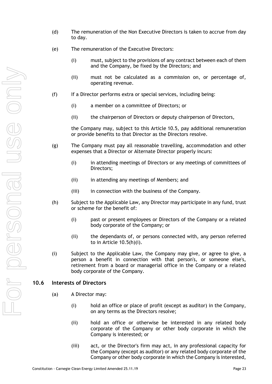- (d) The remuneration of the Non Executive Directors is taken to accrue from day to day.
- (e) The remuneration of the Executive Directors:
	- (i) must, subject to the provisions of any contract between each of them and the Company, be fixed by the Directors; and
	- (ii) must not be calculated as a commission on, or percentage of, operating revenue.
- (f) If a Director performs extra or special services, including being:
	- (i) a member on a committee of Directors; or
	- (ii) the chairperson of Directors or deputy chairperson of Directors,

the Company may, subject to this Article [10.5,](#page-25-1) pay additional remuneration or provide benefits to that Director as the Directors resolve.

- <span id="page-26-1"></span>(g) The Company must pay all reasonable travelling, accommodation and other expenses that a Director or Alternate Director properly incurs:
	- (i) in attending meetings of Directors or any meetings of committees of Directors;
	- (ii) in attending any meetings of Members; and
	- (iii) in connection with the business of the Company.
- <span id="page-26-2"></span>(h) Subject to the Applicable Law, any Director may participate in any fund, trust or scheme for the benefit of:
	- (i) past or present employees or Directors of the Company or a related body corporate of the Company; or
	- (ii) the dependants of, or persons connected with, any person referred to in Article [10.5\(h\)\(i\).](#page-26-2)
- (i) Subject to the Applicable Law, the Company may give, or agree to give, a person a benefit in connection with that person's, or someone else's, retirement from a board or managerial office in the Company or a related body corporate of the Company.

## <span id="page-26-0"></span>**10.6 Interests of Directors**

- (a) A Director may:
	- (i) hold an office or place of profit (except as auditor) in the Company, on any terms as the Directors resolve;
	- (ii) hold an office or otherwise be interested in any related body corporate of the Company or other body corporate in which the Company is interested; or
	- (iii) act, or the Director's firm may act, in any professional capacity for the Company (except as auditor) or any related body corporate of the Company or other body corporate in which the Company is interested,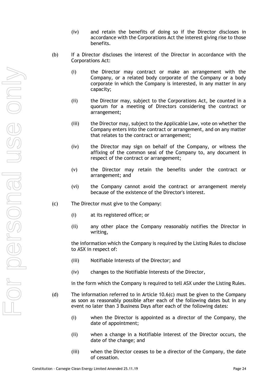- (iv) and retain the benefits of doing so if the Director discloses in accordance with the Corporations Act the interest giving rise to those benefits.
- (b) If a Director discloses the interest of the Director in accordance with the Corporations Act:
	- (i) the Director may contract or make an arrangement with the Company, or a related body corporate of the Company or a body corporate in which the Company is interested, in any matter in any capacity;
	- (ii) the Director may, subject to the Corporations Act, be counted in a quorum for a meeting of Directors considering the contract or arrangement;
	- (iii) the Director may, subject to the Applicable Law, vote on whether the Company enters into the contract or arrangement, and on any matter that relates to the contract or arrangement;
	- (iv) the Director may sign on behalf of the Company, or witness the affixing of the common seal of the Company to, any document in respect of the contract or arrangement;
	- (v) the Director may retain the benefits under the contract or arrangement; and
	- (vi) the Company cannot avoid the contract or arrangement merely because of the existence of the Director's interest.
- <span id="page-27-0"></span>(c) The Director must give to the Company:
	- (i) at its registered office; or
	- (ii) any other place the Company reasonably notifies the Director in writing,

the information which the Company is required by the Listing Rules to disclose to ASX in respect of:

- (iii) Notifiable Interests of the Director; and
- (iv) changes to the Notifiable Interests of the Director,

in the form which the Company is required to tell ASX under the Listing Rules.

- (d) The information referred to in Article [10.6\(c\)](#page-27-0) must be given to the Company as soon as reasonably possible after each of the following dates but in any event no later than 3 Business Days after each of the following dates:
	- (i) when the Director is appointed as a director of the Company, the date of appointment;
	- (ii) when a change in a Notifiable Interest of the Director occurs, the date of the change; and
	- (iii) when the Director ceases to be a director of the Company, the date of cessation.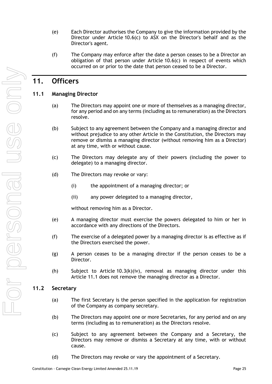- (e) Each Director authorises the Company to give the information provided by the Director under Article [10.6\(c\)](#page-27-0) to ASX on the Director's behalf and as the Director's agent.
- (f) The Company may enforce after the date a person ceases to be a Director an obligation of that person under Article [10.6\(c\)](#page-27-0) in respect of events which occurred on or prior to the date that person ceased to be a Director.

# <span id="page-28-0"></span>**11. Officers**

## <span id="page-28-1"></span>**11.1 Managing Director**

- (a) The Directors may appoint one or more of themselves as a managing director, for any period and on any terms (including as to remuneration) as the Directors resolve.
- (b) Subject to any agreement between the Company and a managing director and without prejudice to any other Article in the Constitution, the Directors may remove or dismiss a managing director (without removing him as a Director) at any time, with or without cause.
- (c) The Directors may delegate any of their powers (including the power to delegate) to a managing director.
- (d) The Directors may revoke or vary:
	- (i) the appointment of a managing director; or
	- (ii) any power delegated to a managing director,

without removing him as a Director.

- (e) A managing director must exercise the powers delegated to him or her in accordance with any directions of the Directors.
- (f) The exercise of a delegated power by a managing director is as effective as if the Directors exercised the power.
- (g) A person ceases to be a managing director if the person ceases to be a Director.
- (h) Subject to Article [10.3\(k\)\(iv\),](#page-24-6) removal as managing director under this Article [11.1](#page-28-1) does not remove the managing director as a Director.

## <span id="page-28-2"></span>**11.2 Secretary**

- (a) The first Secretary is the person specified in the application for registration of the Company as company secretary.
- (b) The Directors may appoint one or more Secretaries, for any period and on any terms (including as to remuneration) as the Directors resolve.
- (c) Subject to any agreement between the Company and a Secretary, the Directors may remove or dismiss a Secretary at any time, with or without cause.
- (d) The Directors may revoke or vary the appointment of a Secretary.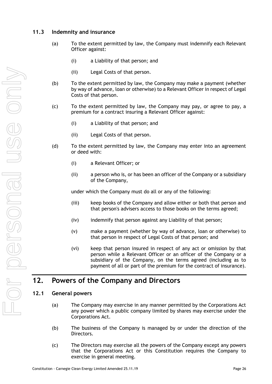## <span id="page-29-0"></span>**11.3 Indemnity and insurance**

- (a) To the extent permitted by law, the Company must indemnify each Relevant Officer against:
	- (i) a Liability of that person; and
	- (ii) Legal Costs of that person.
- (b) To the extent permitted by law, the Company may make a payment (whether by way of advance, loan or otherwise) to a Relevant Officer in respect of Legal Costs of that person.
- (c) To the extent permitted by law, the Company may pay, or agree to pay, a premium for a contract insuring a Relevant Officer against:
	- (i) a Liability of that person; and
	- (ii) Legal Costs of that person.
- (d) To the extent permitted by law, the Company may enter into an agreement or deed with:
	- (i) a Relevant Officer; or
	- (ii) a person who is, or has been an officer of the Company or a subsidiary of the Company,

under which the Company must do all or any of the following:

- (iii) keep books of the Company and allow either or both that person and that person's advisers access to those books on the terms agreed;
- (iv) indemnify that person against any Liability of that person;
- (v) make a payment (whether by way of advance, loan or otherwise) to that person in respect of Legal Costs of that person; and
- (vi) keep that person insured in respect of any act or omission by that person while a Relevant Officer or an officer of the Company or a subsidiary of the Company, on the terms agreed (including as to payment of all or part of the premium for the contract of insurance).

## <span id="page-29-1"></span>**12. Powers of the Company and Directors**

#### <span id="page-29-2"></span>**12.1 General powers**

- (a) The Company may exercise in any manner permitted by the Corporations Act any power which a public company limited by shares may exercise under the Corporations Act.
- (b) The business of the Company is managed by or under the direction of the Directors.
- (c) The Directors may exercise all the powers of the Company except any powers that the Corporations Act or this Constitution requires the Company to exercise in general meeting.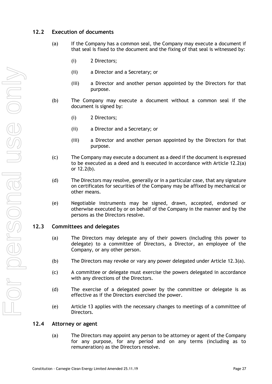## <span id="page-30-3"></span><span id="page-30-0"></span>**12.2 Execution of documents**

- (a) If the Company has a common seal, the Company may execute a document if that seal is fixed to the document and the fixing of that seal is witnessed by:
	- (i) 2 Directors;
	- (ii) a Director and a Secretary; or
	- (iii) a Director and another person appointed by the Directors for that purpose.
- <span id="page-30-4"></span>(b) The Company may execute a document without a common seal if the document is signed by:
	- (i) 2 Directors;
	- (ii) a Director and a Secretary; or
	- (iii) a Director and another person appointed by the Directors for that purpose.
- (c) The Company may execute a document as a deed if the document is expressed to be executed as a deed and is executed in accordance with Article [12.2\(a\)](#page-30-3) or [12.2\(b\).](#page-30-4)
- (d) The Directors may resolve, generally or in a particular case, that any signature on certificates for securities of the Company may be affixed by mechanical or other means.
- (e) Negotiable instruments may be signed, drawn, accepted, endorsed or otherwise executed by or on behalf of the Company in the manner and by the persons as the Directors resolve.

#### <span id="page-30-5"></span><span id="page-30-1"></span>**12.3 Committees and delegates**

- (a) The Directors may delegate any of their powers (including this power to delegate) to a committee of Directors, a Director, an employee of the Company, or any other person.
- (b) The Directors may revoke or vary any power delegated under Article [12.3\(a\).](#page-30-5)
- (c) A committee or delegate must exercise the powers delegated in accordance with any directions of the Directors.
- (d) The exercise of a delegated power by the committee or delegate is as effective as if the Directors exercised the power.
- (e) Article [13](#page-31-0) applies with the necessary changes to meetings of a committee of Directors.

#### <span id="page-30-6"></span><span id="page-30-2"></span>**12.4 Attorney or agent**

(a) The Directors may appoint any person to be attorney or agent of the Company for any purpose, for any period and on any terms (including as to remuneration) as the Directors resolve.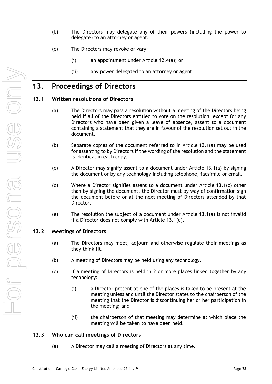- (b) The Directors may delegate any of their powers (including the power to delegate) to an attorney or agent.
- (c) The Directors may revoke or vary:
	- (i) an appointment under Article [12.4\(a\);](#page-30-6) or
	- (ii) any power delegated to an attorney or agent.

## <span id="page-31-0"></span>**13. Proceedings of Directors**

#### <span id="page-31-4"></span><span id="page-31-1"></span>**13.1 Written resolutions of Directors**

- (a) The Directors may pass a resolution without a meeting of the Directors being held if all of the Directors entitled to vote on the resolution, except for any Directors who have been given a leave of absence, assent to a document containing a statement that they are in favour of the resolution set out in the document.
- (b) Separate copies of the document referred to in Article [13.1\(a\)](#page-31-4) may be used for assenting to by Directors if the wording of the resolution and the statement is identical in each copy.
- <span id="page-31-5"></span>(c) A Director may signify assent to a document under Article [13.1\(a\)](#page-31-4) by signing the document or by any technology including telephone, facsimile or email.
- <span id="page-31-6"></span>(d) Where a Director signifies assent to a document under Article [13.1\(c\)](#page-31-5) other than by signing the document, the Director must by way of confirmation sign the document before or at the next meeting of Directors attended by that Director.
- (e) The resolution the subject of a document under Article [13.1\(a\)](#page-31-4) is not invalid if a Director does not comply with Article [13.1\(d\).](#page-31-6)

#### <span id="page-31-2"></span>**13.2 Meetings of Directors**

- (a) The Directors may meet, adjourn and otherwise regulate their meetings as they think fit.
- (b) A meeting of Directors may be held using any technology.
- (c) If a meeting of Directors is held in 2 or more places linked together by any technology:
	- (i) a Director present at one of the places is taken to be present at the meeting unless and until the Director states to the chairperson of the meeting that the Director is discontinuing her or her participation in the meeting; and
	- (ii) the chairperson of that meeting may determine at which place the meeting will be taken to have been held.

#### <span id="page-31-3"></span>**13.3 Who can call meetings of Directors**

(a) A Director may call a meeting of Directors at any time.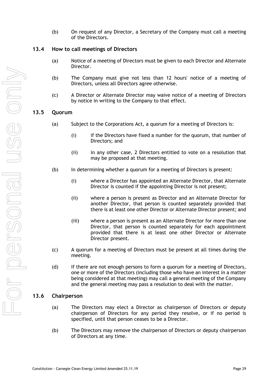(b) On request of any Director, a Secretary of the Company must call a meeting of the Directors.

### <span id="page-32-0"></span>**13.4 How to call meetings of Directors**

- (a) Notice of a meeting of Directors must be given to each Director and Alternate Director.
- (b) The Company must give not less than 12 hours' notice of a meeting of Directors, unless all Directors agree otherwise.
- (c) A Director or Alternate Director may waive notice of a meeting of Directors by notice in writing to the Company to that effect.

### <span id="page-32-1"></span>**13.5 Quorum**

- (a) Subject to the Corporations Act, a quorum for a meeting of Directors is:
	- (i) if the Directors have fixed a number for the quorum, that number of Directors; and
	- (ii) in any other case, 2 Directors entitled to vote on a resolution that may be proposed at that meeting.
- (b) In determining whether a quorum for a meeting of Directors is present:
	- (i) where a Director has appointed an Alternate Director, that Alternate Director is counted if the appointing Director is not present;
	- (ii) where a person is present as Director and an Alternate Director for another Director, that person is counted separately provided that there is at least one other Director or Alternate Director present; and
	- (iii) where a person is present as an Alternate Director for more than one Director, that person is counted separately for each appointment provided that there is at least one other Director or Alternate Director present.
- (c) A quorum for a meeting of Directors must be present at all times during the meeting.
- (d) If there are not enough persons to form a quorum for a meeting of Directors, one or more of the Directors (including those who have an interest in a matter being considered at that meeting) may call a general meeting of the Company and the general meeting may pass a resolution to deal with the matter.

## <span id="page-32-2"></span>**13.6 Chairperson**

- (a) The Directors may elect a Director as chairperson of Directors or deputy chairperson of Directors for any period they resolve, or if no period is specified, until that person ceases to be a Director.
- (b) The Directors may remove the chairperson of Directors or deputy chairperson of Directors at any time.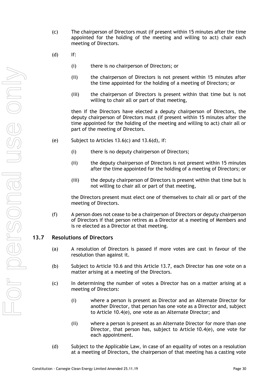- <span id="page-33-1"></span>(c) The chairperson of Directors must (if present within 15 minutes after the time appointed for the holding of the meeting and willing to act) chair each meeting of Directors.
- <span id="page-33-2"></span>(d) If:
	- (i) there is no chairperson of Directors; or
	- (ii) the chairperson of Directors is not present within 15 minutes after the time appointed for the holding of a meeting of Directors; or
	- (iii) the chairperson of Directors is present within that time but is not willing to chair all or part of that meeting,

then if the Directors have elected a deputy chairperson of Directors, the deputy chairperson of Directors must (if present within 15 minutes after the time appointed for the holding of the meeting and willing to act) chair all or part of the meeting of Directors.

- (e) Subject to Articles  $13.6(c)$  and  $13.6(d)$ , if:
	- (i) there is no deputy chairperson of Directors;
	- (ii) the deputy chairperson of Directors is not present within 15 minutes after the time appointed for the holding of a meeting of Directors; or
	- (iii) the deputy chairperson of Directors is present within that time but is not willing to chair all or part of that meeting,

the Directors present must elect one of themselves to chair all or part of the meeting of Directors.

(f) A person does not cease to be a chairperson of Directors or deputy chairperson of Directors if that person retires as a Director at a meeting of Members and is re elected as a Director at that meeting.

### <span id="page-33-0"></span>**13.7 Resolutions of Directors**

- (a) A resolution of Directors is passed if more votes are cast in favour of the resolution than against it.
- (b) Subject to Article [10.6](#page-26-0) and this Article [13.7,](#page-33-0) each Director has one vote on a matter arising at a meeting of the Directors.
- (c) In determining the number of votes a Director has on a matter arising at a meeting of Directors:
	- (i) where a person is present as Director and an Alternate Director for another Director, that person has one vote as a Director and, subject to Article [10.4\(e\),](#page-25-5) one vote as an Alternate Director; and
	- (ii) where a person is present as an Alternate Director for more than one Director, that person has, subject to Article [10.4\(e\),](#page-25-5) one vote for each appointment.
- (d) Subject to the Applicable Law, in case of an equality of votes on a resolution at a meeting of Directors, the chairperson of that meeting has a casting vote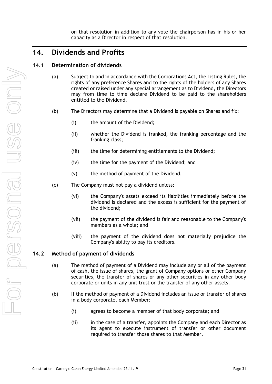on that resolution in addition to any vote the chairperson has in his or her capacity as a Director in respect of that resolution.

# <span id="page-34-0"></span>**14. Dividends and Profits**

### <span id="page-34-1"></span>**14.1 Determination of dividends**

- (a) Subject to and in accordance with the Corporations Act, the Listing Rules, the rights of any preference Shares and to the rights of the holders of any Shares created or raised under any special arrangement as to Dividend, the Directors may from time to time declare Dividend to be paid to the shareholders entitled to the Dividend.
- <span id="page-34-3"></span>(b) The Directors may determine that a Dividend is payable on Shares and fix:
	- (i) the amount of the Dividend;
	- (ii) whether the Dividend is franked, the franking percentage and the franking class;
	- (iii) the time for determining entitlements to the Dividend;
	- (iv) the time for the payment of the Dividend; and
	- (v) the method of payment of the Dividend.
- (c) The Company must not pay a dividend unless:
	- (vi) the Company's assets exceed its liabilities immediately before the dividend is declared and the excess is sufficient for the payment of the dividend;
	- (vii) the payment of the dividend is fair and reasonable to the Company's members as a whole; and
	- (viii) the payment of the dividend does not materially prejudice the Company's ability to pay its creditors.

## <span id="page-34-2"></span>**14.2 Method of payment of dividends**

- (a) The method of payment of a Dividend may include any or all of the payment of cash, the issue of shares, the grant of Company options or other Company securities, the transfer of shares or any other securities in any other body corporate or units in any unit trust or the transfer of any other assets.
- (b) If the method of payment of a Dividend includes an issue or transfer of shares in a body corporate, each Member:
	- (i) agrees to become a member of that body corporate; and
	- (ii) in the case of a transfer, appoints the Company and each Director as its agent to execute instrument of transfer or other document required to transfer those shares to that Member.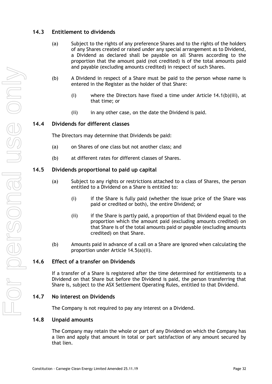## <span id="page-35-0"></span>**14.3 Entitlement to dividends**

- (a) Subject to the rights of any preference Shares and to the rights of the holders of any Shares created or raised under any special arrangement as to Dividend, a Dividend as declared shall be payable on all Shares according to the proportion that the amount paid (not credited) is of the total amounts paid and payable (excluding amounts credited) in respect of such Shares.
- (b) A Dividend in respect of a Share must be paid to the person whose name is entered in the Register as the holder of that Share:
	- (i) where the Directors have fixed a time under Article [14.1\(b\)\(iii\),](#page-34-3) at that time; or
	- (ii) in any other case, on the date the Dividend is paid.

#### <span id="page-35-1"></span>**14.4 Dividends for different classes**

The Directors may determine that Dividends be paid:

- (a) on Shares of one class but not another class; and
- (b) at different rates for different classes of Shares.

#### <span id="page-35-2"></span>**14.5 Dividends proportional to paid up capital**

- <span id="page-35-6"></span>(a) Subject to any rights or restrictions attached to a class of Shares, the person entitled to a Dividend on a Share is entitled to:
	- (i) if the Share is fully paid (whether the issue price of the Share was paid or credited or both), the entire Dividend; or
	- (ii) if the Share is partly paid, a proportion of that Dividend equal to the proportion which the amount paid (excluding amounts credited) on that Share is of the total amounts paid or payable (excluding amounts credited) on that Share.
- (b) Amounts paid in advance of a call on a Share are ignored when calculating the proportion under Article [14.5\(a\)\(ii\).](#page-35-6)

#### <span id="page-35-3"></span>**14.6 Effect of a transfer on Dividends**

If a transfer of a Share is registered after the time determined for entitlements to a Dividend on that Share but before the Dividend is paid, the person transferring that Share is, subject to the ASX Settlement Operating Rules, entitled to that Dividend.

#### <span id="page-35-4"></span>**14.7 No interest on Dividends**

The Company is not required to pay any interest on a Dividend.

#### <span id="page-35-5"></span>**14.8 Unpaid amounts**

The Company may retain the whole or part of any Dividend on which the Company has a lien and apply that amount in total or part satisfaction of any amount secured by that lien.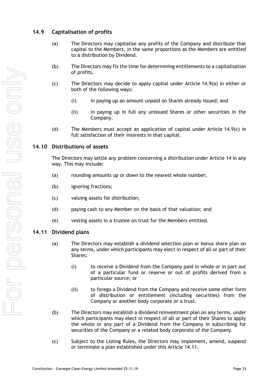## <span id="page-36-3"></span><span id="page-36-0"></span>**14.9 Capitalisation of profits**

- (a) The Directors may capitalise any profits of the Company and distribute that capital to the Members, in the same proportions as the Members are entitled to a distribution by Dividend.
- (b) The Directors may fix the time for determining entitlements to a capitalisation of profits.
- <span id="page-36-4"></span>(c) The Directors may decide to apply capital under Article [14.9\(a\)](#page-36-3) in either or both of the following ways:
	- (i) in paying up an amount unpaid on Shares already issued; and
	- (ii) in paying up in full any unissued Shares or other securities in the Company.
- (d) The Members must accept an application of capital under Article  $14.9(c)$  in full satisfaction of their interests in that capital.

### <span id="page-36-1"></span>**14.10 Distributions of assets**

The Directors may settle any problem concerning a distribution under Article 14 in any way. This may include:

- (a) rounding amounts up or down to the nearest whole number;
- (b) ignoring fractions;
- (c) valuing assets for distribution;
- (d) paying cash to any Member on the basis of that valuation; and
- (e) vesting assets in a trustee on trust for the Members entitled.

#### <span id="page-36-2"></span>**14.11 Dividend plans**

- (a) The Directors may establish a dividend selection plan or bonus share plan on any terms, under which participants may elect in respect of all or part of their Shares:
	- (i) to receive a Dividend from the Company paid in whole or in part out of a particular fund or reserve or out of profits derived from a particular source; or
	- (ii) to forego a Dividend from the Company and receive some other form of distribution or entitlement (including securities) from the Company or another body corporate or a trust.
- (b) The Directors may establish a dividend reinvestment plan on any terms, under which participants may elect in respect of all or part of their Shares to apply the whole or any part of a Dividend from the Company in subscribing for securities of the Company or a related body corporate of the Company.
- (c) Subject to the Listing Rules, the Directors may implement, amend, suspend or terminate a plan established under this Article [14.11.](#page-36-2)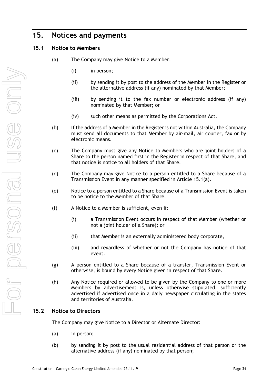# <span id="page-37-0"></span>**15. Notices and payments**

## <span id="page-37-3"></span><span id="page-37-1"></span>**15.1 Notice to Members**

- (a) The Company may give Notice to a Member:
	- (i) in person;
	- (ii) by sending it by post to the address of the Member in the Register or the alternative address (if any) nominated by that Member;
	- (iii) by sending it to the fax number or electronic address (if any) nominated by that Member; or
	- (iv) such other means as permitted by the Corporations Act.
- (b) If the address of a Member in the Register is not within Australia, the Company must send all documents to that Member by air-mail, air courier, fax or by electronic means.
- (c) The Company must give any Notice to Members who are joint holders of a Share to the person named first in the Register in respect of that Share, and that notice is notice to all holders of that Share.
- (d) The Company may give Notice to a person entitled to a Share because of a Transmission Event in any manner specified in Article [15.1\(a\).](#page-37-3)
- (e) Notice to a person entitled to a Share because of a Transmission Event is taken to be notice to the Member of that Share.
- (f) A Notice to a Member is sufficient, even if:
	- (i) a Transmission Event occurs in respect of that Member (whether or not a joint holder of a Share); or
	- (ii) that Member is an externally administered body corporate,
	- (iii) and regardless of whether or not the Company has notice of that event.
- (g) A person entitled to a Share because of a transfer, Transmission Event or otherwise, is bound by every Notice given in respect of that Share.
- (h) Any Notice required or allowed to be given by the Company to one or more Members by advertisement is, unless otherwise stipulated, sufficiently advertised if advertised once in a daily newspaper circulating in the states and territories of Australia.

## <span id="page-37-2"></span>**15.2 Notice to Directors**

The Company may give Notice to a Director or Alternate Director:

- (a) in person;
- (b) by sending it by post to the usual residential address of that person or the alternative address (if any) nominated by that person;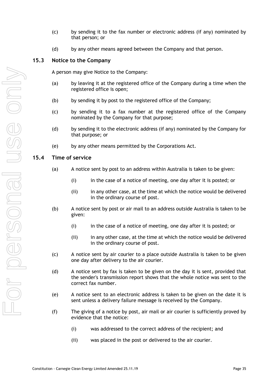- (c) by sending it to the fax number or electronic address (if any) nominated by that person; or
- (d) by any other means agreed between the Company and that person.

#### <span id="page-38-0"></span>**15.3 Notice to the Company**

A person may give Notice to the Company:

- (a) by leaving it at the registered office of the Company during a time when the registered office is open;
- (b) by sending it by post to the registered office of the Company;
- (c) by sending it to a fax number at the registered office of the Company nominated by the Company for that purpose;
- (d) by sending it to the electronic address (if any) nominated by the Company for that purpose; or
- (e) by any other means permitted by the Corporations Act.

### <span id="page-38-1"></span>**15.4 Time of service**

- (a) A notice sent by post to an address within Australia is taken to be given:
	- (i) in the case of a notice of meeting, one day after it is posted; or
	- (ii) in any other case, at the time at which the notice would be delivered in the ordinary course of post.
- (b) A notice sent by post or air mail to an address outside Australia is taken to be given:
	- (i) in the case of a notice of meeting, one day after it is posted; or
	- (ii) in any other case, at the time at which the notice would be delivered in the ordinary course of post.
- (c) A notice sent by air courier to a place outside Australia is taken to be given one day after delivery to the air courier.
- (d) A notice sent by fax is taken to be given on the day it is sent, provided that the sender's transmission report shows that the whole notice was sent to the correct fax number.
- (e) A notice sent to an electronic address is taken to be given on the date it is sent unless a delivery failure message is received by the Company.
- <span id="page-38-2"></span>(f) The giving of a notice by post, air mail or air courier is sufficiently proved by evidence that the notice:
	- (i) was addressed to the correct address of the recipient; and
	- (ii) was placed in the post or delivered to the air courier.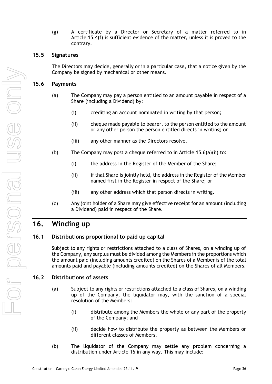(g) A certificate by a Director or Secretary of a matter referred to in Article [15.4\(f\)](#page-38-2) is sufficient evidence of the matter, unless it is proved to the contrary.

## <span id="page-39-0"></span>**15.5 Signatures**

The Directors may decide, generally or in a particular case, that a notice given by the Company be signed by mechanical or other means.

#### <span id="page-39-1"></span>**15.6 Payments**

- <span id="page-39-5"></span>(a) The Company may pay a person entitled to an amount payable in respect of a Share (including a Dividend) by:
	- (i) crediting an account nominated in writing by that person;
	- (ii) cheque made payable to bearer, to the person entitled to the amount or any other person the person entitled directs in writing; or
	- (iii) any other manner as the Directors resolve.
- (b) The Company may post a cheque referred to in Article  $15.6(a)(ii)$  to:
	- (i) the address in the Register of the Member of the Share;
	- (ii) if that Share is jointly held, the address in the Register of the Member named first in the Register in respect of the Share; or
	- (iii) any other address which that person directs in writing.
- (c) Any joint holder of a Share may give effective receipt for an amount (including a Dividend) paid in respect of the Share.

# <span id="page-39-2"></span>**16. Winding up**

## <span id="page-39-3"></span>**16.1 Distributions proportional to paid up capital**

Subject to any rights or restrictions attached to a class of Shares, on a winding up of the Company, any surplus must be divided among the Members in the proportions which the amount paid (including amounts credited) on the Shares of a Member is of the total amounts paid and payable (including amounts credited) on the Shares of all Members.

#### <span id="page-39-4"></span>**16.2 Distributions of assets**

- (a) Subject to any rights or restrictions attached to a class of Shares, on a winding up of the Company, the liquidator may, with the sanction of a special resolution of the Members:
	- (i) distribute among the Members the whole or any part of the property of the Company; and
	- (ii) decide how to distribute the property as between the Members or different classes of Members.
- (b) The liquidator of the Company may settle any problem concerning a distribution under Article [16](#page-39-2) in any way. This may include: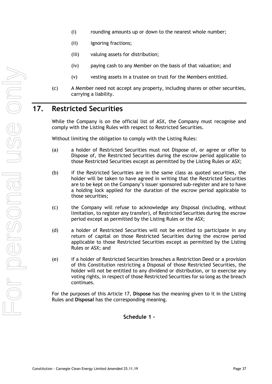For personal use only Mino personal use e dri

- (i) rounding amounts up or down to the nearest whole number;
- (ii) ignoring fractions;
- (iii) valuing assets for distribution;
- (iv) paying cash to any Member on the basis of that valuation; and
- (v) vesting assets in a trustee on trust for the Members entitled.
- (c) A Member need not accept any property, including shares or other securities, carrying a liability.

# <span id="page-40-0"></span>**17. Restricted Securities**

While the Company is on the official list of ASX, the Company must recognise and comply with the Listing Rules with respect to Restricted Securities.

Without limiting the obligation to comply with the Listing Rules:

- (a) a holder of Restricted Securities must not Dispose of, or agree or offer to Dispose of, the Restricted Securities during the escrow period applicable to those Restricted Securities except as permitted by the Listing Rules or ASX;
- (b) if the Restricted Securities are in the same class as quoted securities, the holder will be taken to have agreed in writing that the Restricted Securities are to be kept on the Company's issuer sponsored sub-register and are to have a holding lock applied for the duration of the escrow period applicable to those securities;
- (c) the Company will refuse to acknowledge any Disposal (including, without limitation, to register any transfer), of Restricted Securities during the escrow period except as permitted by the Listing Rules or the ASX;
- (d) a holder of Restricted Securities will not be entitled to participate in any return of capital on those Restricted Securities during the escrow period applicable to those Restricted Securities except as permitted by the Listing Rules or ASX; and
- (e) if a holder of Restricted Securities breaches a Restriction Deed or a provision of this Constitution restricting a Disposal of those Restricted Securities, the holder will not be entitled to any dividend or distribution, or to exercise any voting rights, in respect of those Restricted Securities for so long as the breach continues.

<span id="page-40-1"></span>For the purposes of this Article 17, **Dispose** has the meaning given to it in the Listing Rules and **Disposal** has the corresponding meaning.

**Schedule 1 -**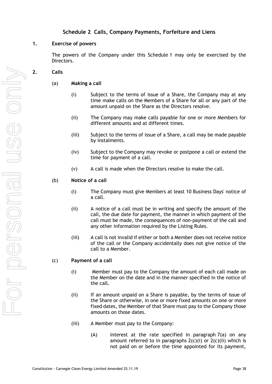## **Schedule 2 Calls, Company Payments, Forfeiture and Liens**

#### **1. Exercise of powers**

The powers of the Company under this [Schedule](#page-40-1) 1 may only be exercised by the Directors.

- <span id="page-41-4"></span><span id="page-41-3"></span><span id="page-41-2"></span><span id="page-41-1"></span><span id="page-41-0"></span>**2. Calls**
	- (a) **Making a call**
		- (i) Subject to the terms of issue of a Share, the Company may at any time make calls on the Members of a Share for all or any part of the amount unpaid on the Share as the Directors resolve.
		- (ii) The Company may make calls payable for one or more Members for different amounts and at different times.
		- (iii) Subject to the terms of issue of a Share, a call may be made payable by instalments.
		- (iv) Subject to the Company may revoke or postpone a call or extend the time for payment of a call.
		- (v) A call is made when the Directors resolve to make the call.
	- (b) **Notice of a call** 
		- (i) The Company must give Members at least 10 Business Days' notice of a call.
		- (ii) A notice of a call must be in writing and specify the amount of the call, the due date for payment, the manner in which payment of the call must be made, the consequences of non-payment of the call and any other information required by the Listing Rules.
		- (iii) A call is not invalid if either or both a Member does not receive notice of the call or the Company accidentally does not give notice of the call to a Member.
	- (c) **Payment of a call**
		- (i) Member must pay to the Company the amount of each call made on the Member on the date and in the manner specified in the notice of the call.
		- (ii) If an amount unpaid on a Share is payable, by the terms of issue of the Share or otherwise, in one or more fixed amounts on one or more fixed dates, the Member of that Share must pay to the Company those amounts on those dates.
		- (iii) A Member must pay to the Company:
			- $(A)$  interest at the rate specified in paragraph  $7(a)$  on any amount referred to in paragraphs  $2(c)(i)$  or  $2(c)(ii)$  which is not paid on or before the time appointed for its payment,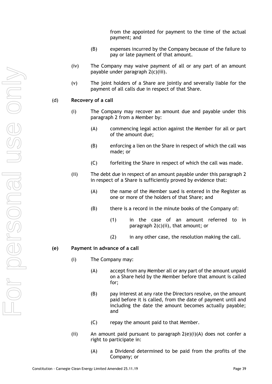from the appointed for payment to the time of the actual payment; and

- (B) expenses incurred by the Company because of the failure to pay or late payment of that amount.
- (iv) The Company may waive payment of all or any part of an amount payable under paragraph [2\(c\)\(iii\).](#page-41-3)
- (v) The joint holders of a Share are jointly and severally liable for the payment of all calls due in respect of that Share.

#### (d) **Recovery of a call**

- (i) The Company may recover an amount due and payable under this paragraph [2](#page-41-4) from a Member by:
	- (A) commencing legal action against the Member for all or part of the amount due;
	- (B) enforcing a lien on the Share in respect of which the call was made; or
	- (C) forfeiting the Share in respect of which the call was made.
- (ii) The debt due in respect of an amount payable under this paragraph [2](#page-41-4) in respect of a Share is sufficiently proved by evidence that:
	- (A) the name of the Member sued is entered in the Register as one or more of the holders of that Share; and
	- (B) there is a record in the minute books of the Company of:
		- (1) in the case of an amount referred to in paragraph [2\(c\)\(ii\),](#page-41-2) that amount; or
		- (2) in any other case, the resolution making the call.

#### <span id="page-42-0"></span>**(e) Payment in advance of a call**

- (i) The Company may:
	- (A) accept from any Member all or any part of the amount unpaid on a Share held by the Member before that amount is called for;
	- (B) pay interest at any rate the Directors resolve, on the amount paid before it is called, from the date of payment until and including the date the amount becomes actually payable; and
	- (C) repay the amount paid to that Member.
- (ii) An amount paid pursuant to paragraph  $2(e)(i)(A)$  does not confer a right to participate in:
	- (A) a Dividend determined to be paid from the profits of the Company; or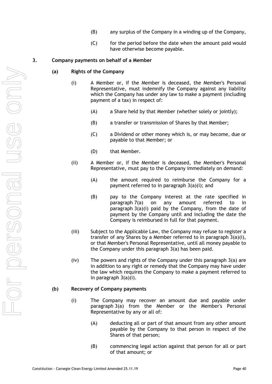- (B) any surplus of the Company in a winding up of the Company,
- (C) for the period before the date when the amount paid would have otherwise become payable.

### <span id="page-43-2"></span><span id="page-43-1"></span><span id="page-43-0"></span>**3. Company payments on behalf of a Member**

#### **(a) Rights of the Company**

- (i) A Member or, if the Member is deceased, the Member's Personal Representative, must indemnify the Company against any liability which the Company has under any law to make a payment (including payment of a tax) in respect of:
	- (A) a Share held by that Member (whether solely or jointly);
	- (B) a transfer or transmission of Shares by that Member;
	- (C) a Dividend or other money which is, or may become, due or payable to that Member; or
	- (D) that Member.
- (ii) A Member or, if the Member is deceased, the Member's Personal Representative, must pay to the Company immediately on demand:
	- (A) the amount required to reimburse the Company for a payment referred to in paragraph [3\(a\)\(i\);](#page-43-0) and
	- (B) pay to the Company interest at the rate specified in paragraph [7\(a\)](#page-47-0) on any amount referred to in paragraph [3\(a\)\(i\)](#page-43-0) paid by the Company, from the date of payment by the Company until and including the date the Company is reimbursed in full for that payment.
- (iii) Subject to the Applicable Law, the Company may refuse to register a transfer of any Shares by a Member referred to in paragraph [3\(a\)\(i\),](#page-43-0) or that Member's Personal Representative, until all money payable to the Company under this paragraph [3\(a\)](#page-43-1) has been paid.
- (iv) The powers and rights of the Company under this paragraph [3\(a\)](#page-43-1) are in addition to any right or remedy that the Company may have under the law which requires the Company to make a payment referred to in paragraph [3\(a\)\(i\).](#page-43-0)

#### **(b) Recovery of Company payments**

- (i) The Company may recover an amount due and payable under paragraph [3\(a\)](#page-43-1) from the Member or the Member's Personal Representative by any or all of:
	- (A) deducting all or part of that amount from any other amount payable by the Company to that person in respect of the Shares of that person;
	- (B) commencing legal action against that person for all or part of that amount; or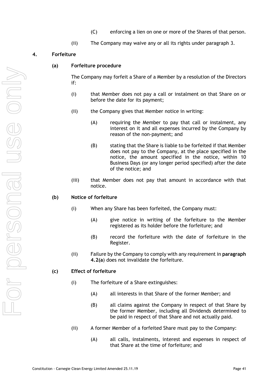- (C) enforcing a lien on one or more of the Shares of that person.
- (ii) The Company may waive any or all its rights under paragraph [3.](#page-43-2)

### **4. Forfeiture**

#### **(a) Forfeiture procedure**

The Company may forfeit a Share of a Member by a resolution of the Directors if:

- (i) that Member does not pay a call or instalment on that Share on or before the date for its payment;
- (ii) the Company gives that Member notice in writing:
	- (A) requiring the Member to pay that call or instalment, any interest on it and all expenses incurred by the Company by reason of the non-payment; and
	- (B) stating that the Share is liable to be forfeited if that Member does not pay to the Company, at the place specified in the notice, the amount specified in the notice, within 10 Business Days (or any longer period specified) after the date of the notice; and
- (iii) that Member does not pay that amount in accordance with that notice.

#### **(b) Notice of forfeiture**

- (i) When any Share has been forfeited, the Company must:
	- (A) give notice in writing of the forfeiture to the Member registered as its holder before the forfeiture; and
	- (B) record the forfeiture with the date of forfeiture in the Register.
- (ii) Failure by the Company to comply with any requirement in **paragraph 4.2(a**) does not invalidate the forfeiture.

#### **(c) Effect of forfeiture**

- (i) The forfeiture of a Share extinguishes:
	- (A) all interests in that Share of the former Member; and
	- (B) all claims against the Company in respect of that Share by the former Member, including all Dividends determined to be paid in respect of that Share and not actually paid.
- (ii) A former Member of a forfeited Share must pay to the Company:
	- (A) all calls, instalments, interest and expenses in respect of that Share at the time of forfeiture; and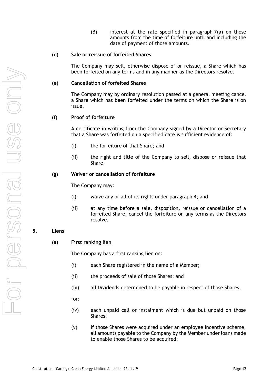$(B)$  interest at the rate specified in paragraph  $7(a)$  on those amounts from the time of forfeiture until and including the date of payment of those amounts.

#### **(d) Sale or reissue of forfeited Shares**

The Company may sell, otherwise dispose of or reissue, a Share which has been forfeited on any terms and in any manner as the Directors resolve.

#### **(e) Cancellation of forfeited Shares**

The Company may by ordinary resolution passed at a general meeting cancel a Share which has been forfeited under the terms on which the Share is on issue.

#### **(f) Proof of forfeiture**

A certificate in writing from the Company signed by a Director or Secretary that a Share was forfeited on a specified date is sufficient evidence of:

- (i) the forfeiture of that Share; and
- (ii) the right and title of the Company to sell, dispose or reissue that Share.

#### **(g) Waiver or cancellation of forfeiture**

The Company may:

- (i) waive any or all of its rights under paragraph 4; and
- (ii) at any time before a sale, disposition, reissue or cancellation of a forfeited Share, cancel the forfeiture on any terms as the Directors resolve.

#### <span id="page-45-0"></span>**5. Liens**

**(a) First ranking lien**

The Company has a first ranking lien on:

- (i) each Share registered in the name of a Member;
- (ii) the proceeds of sale of those Shares; and
- (iii) all Dividends determined to be payable in respect of those Shares,
- for:
- (iv) each unpaid call or instalment which is due but unpaid on those Shares;
- (v) if those Shares were acquired under an employee incentive scheme, all amounts payable to the Company by the Member under loans made to enable those Shares to be acquired;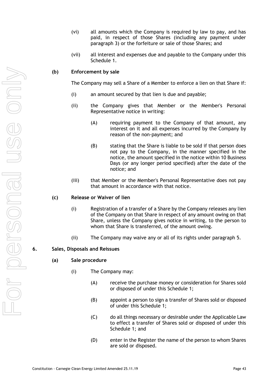- (vi) all amounts which the Company is required by law to pay, and has paid, in respect of those Shares (including any payment under paragraph [3\)](#page-43-2) or the forfeiture or sale of those Shares; and
- (vii) all interest and expenses due and payable to the Company under this Schedule 1.

#### **(b) Enforcement by sale**

The Company may sell a Share of a Member to enforce a lien on that Share if:

- (i) an amount secured by that lien is due and payable;
- (ii) the Company gives that Member or the Member's Personal Representative notice in writing:
	- (A) requiring payment to the Company of that amount, any interest on it and all expenses incurred by the Company by reason of the non-payment; and
	- (B) stating that the Share is liable to be sold if that person does not pay to the Company, in the manner specified in the notice, the amount specified in the notice within 10 Business Days (or any longer period specified) after the date of the notice; and
- (iii) that Member or the Member's Personal Representative does not pay that amount in accordance with that notice.

#### **(c) Release or Waiver of lien**

- (i) Registration of a transfer of a Share by the Company releases any lien of the Company on that Share in respect of any amount owing on that Share, unless the Company gives notice in writing, to the person to whom that Share is transferred, of the amount owing.
- (ii) The Company may waive any or all of its rights under paragraph [5.](#page-45-0)

#### **6. Sales, Disposals and Reissues**

#### **(a) Sale procedure**

- (i) The Company may:
	- (A) receive the purchase money or consideration for Shares sold or disposed of under this [Schedule](#page-40-1) 1;
	- (B) appoint a person to sign a transfer of Shares sold or disposed of under this [Schedule](#page-40-1) 1;
	- (C) do all things necessary or desirable under the Applicable Law to effect a transfer of Shares sold or disposed of under this [Schedule](#page-40-1) 1; and
	- (D) enter in the Register the name of the person to whom Shares are sold or disposed.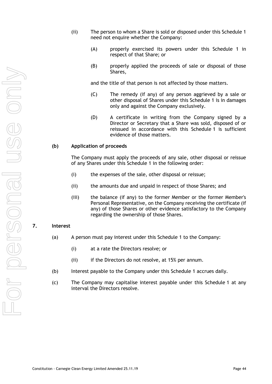- (ii) The person to whom a Share is sold or disposed under this Schedule 1 need not enquire whether the Company:
	- (A) properly exercised its powers under this Schedule 1 in respect of that Share; or
	- (B) properly applied the proceeds of sale or disposal of those Shares,

and the title of that person is not affected by those matters.

- (C) The remedy (if any) of any person aggrieved by a sale or other disposal of Shares under this [Schedule](#page-40-1) 1 is in damages only and against the Company exclusively.
- (D) A certificate in writing from the Company signed by a Director or Secretary that a Share was sold, disposed of or reissued in accordance with this [Schedule](#page-40-1) 1 is sufficient evidence of those matters.

#### **(b) Application of proceeds**

The Company must apply the proceeds of any sale, other disposal or reissue of any Shares under this [Schedule](#page-40-1) 1 in the following order:

- (i) the expenses of the sale, other disposal or reissue;
- (ii) the amounts due and unpaid in respect of those Shares; and
- (iii) the balance (if any) to the former Member or the former Member's Personal Representative, on the Company receiving the certificate (if any) of those Shares or other evidence satisfactory to the Company regarding the ownership of those Shares.

#### <span id="page-47-0"></span>**7. Interest**

- (a) A person must pay interest under this [Schedule](#page-40-1) 1 to the Company:
	- (i) at a rate the Directors resolve; or
	- (ii) if the Directors do not resolve, at 15% per annum.
- (b) Interest payable to the Company under this [Schedule](#page-40-1) 1 accrues daily.
- (c) The Company may capitalise interest payable under this [Schedule](#page-40-1) 1 at any interval the Directors resolve.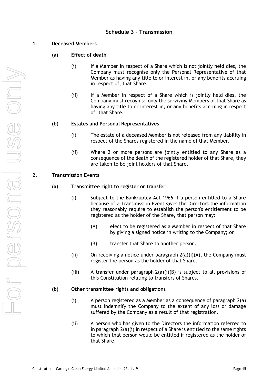## <span id="page-48-0"></span>**1. Deceased Members**

- **(a) Effect of death**
	- (i) If a Member in respect of a Share which is not jointly held dies, the Company must recognise only the Personal Representative of that Member as having any title to or interest in, or any benefits accruing in respect of, that Share.
	- (ii) If a Member in respect of a Share which is jointly held dies, the Company must recognise only the surviving Members of that Share as having any title to or interest in, or any benefits accruing in respect of, that Share.

### **(b) Estates and Personal Representatives**

- (i) The estate of a deceased Member is not released from any liability in respect of the Shares registered in the name of that Member.
- (ii) Where 2 or more persons are jointly entitled to any Share as a consequence of the death of the registered holder of that Share, they are taken to be joint holders of that Share.

### <span id="page-48-4"></span><span id="page-48-3"></span>**2. Transmission Events**

#### <span id="page-48-1"></span>**(a) Transmittee right to register or transfer**

- (i) Subject to the Bankruptcy Act 1966 if a person entitled to a Share because of a Transmission Event gives the Directors the information they reasonably require to establish the person's entitlement to be registered as the holder of the Share, that person may:
	- (A) elect to be registered as a Member in respect of that Share by giving a signed notice in writing to the Company; or
	- (B) transfer that Share to another person.
- <span id="page-48-2"></span>(ii) On receiving a notice under paragraph  $2(a)(i)(A)$ , the Company must register the person as the holder of that Share.
- (iii) A transfer under paragraph  $2(a)(i)(B)$  is subject to all provisions of this Constitution relating to transfers of Shares.

#### **(b) Other transmittee rights and obligations**

- (i) A person registered as a Member as a consequence of paragraph [2\(a\)](#page-48-3) must indemnify the Company to the extent of any loss or damage suffered by the Company as a result of that registration.
- (ii) A person who has given to the Directors the information referred to in paragraph [2\(a\)\(i\)](#page-48-4) in respect of a Share is entitled to the same rights to which that person would be entitled if registered as the holder of that Share.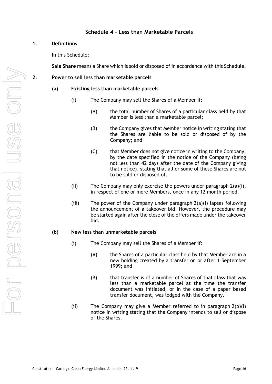## **Schedule 4 – Less than Marketable Parcels**

## <span id="page-49-0"></span>**1. Definitions**

In this Schedule:

**Sale Share** means a Share which is sold or disposed of in accordance with this Schedule.

<span id="page-49-4"></span><span id="page-49-3"></span><span id="page-49-1"></span>**2. Power to sell less than marketable parcels**

## **(a) Existing less than marketable parcels**

- (i) The Company may sell the Shares of a Member if:
	- (A) the total number of Shares of a particular class held by that Member is less than a marketable parcel;
	- (B) the Company gives that Member notice in writing stating that the Shares are liable to be sold or disposed of by the Company; and
	- (C) that Member does not give notice in writing to the Company, by the date specified in the notice of the Company (being not less than 42 days after the date of the Company giving that notice), stating that all or some of those Shares are not to be sold or disposed of.
- (ii) The Company may only exercise the powers under paragraph  $2(a)(i)$ , in respect of one or more Members, once in any 12 month period.
- $(iii)$  The power of the Company under paragraph  $2(a)(i)$  lapses following the announcement of a takeover bid. However, the procedure may be started again after the close of the offers made under the takeover bid.

## <span id="page-49-5"></span><span id="page-49-2"></span>**(b) New less than unmarketable parcels**

- (i) The Company may sell the Shares of a Member if:
	- (A) the Shares of a particular class held by that Member are in a new holding created by a transfer on or after 1 September 1999; and
	- (B) that transfer is of a number of Shares of that class that was less than a marketable parcel at the time the transfer document was initiated, or in the case of a paper based transfer document, was lodged with the Company.
- (ii) The Company may give a Member referred to in paragraph [2\(b\)\(i\)](#page-49-2) notice in writing stating that the Company intends to sell or dispose of the Shares.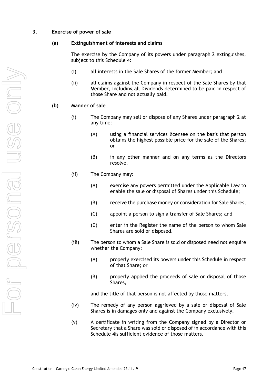#### **3. Exercise of power of sale**

#### **(a) Extinguishment of interests and claims**

The exercise by the Company of its powers under paragraph [2](#page-49-3) extinguishes, subject to this [Schedule](#page-49-0) 4:

- (i) all interests in the Sale Shares of the former Member; and
- (ii) all claims against the Company in respect of the Sale Shares by that Member, including all Dividends determined to be paid in respect of those Share and not actually paid.

### **(b) Manner of sale**

- (i) The Company may sell or dispose of any Shares under paragraph 2 at any time:
	- (A) using a financial services licensee on the basis that person obtains the highest possible price for the sale of the Shares; or
	- (B) in any other manner and on any terms as the Directors resolve.
- (ii) The Company may:
	- (A) exercise any powers permitted under the Applicable Law to enable the sale or disposal of Shares under this Schedule;
	- (B) receive the purchase money or consideration for Sale Shares;
	- (C) appoint a person to sign a transfer of Sale Shares; and
	- (D) enter in the Register the name of the person to whom Sale Shares are sold or disposed.
- (iii) The person to whom a Sale Share is sold or disposed need not enquire whether the Company:
	- (A) properly exercised its powers under this Schedule in respect of that Share; or
	- (B) properly applied the proceeds of sale or disposal of those Shares,

and the title of that person is not affected by those matters.

- (iv) The remedy of any person aggrieved by a sale or disposal of Sale Shares is in damages only and against the Company exclusively.
- (v) A certificate in writing from the Company signed by a Director or Secretary that a Share was sold or disposed of in accordance with this [Schedule](#page-49-0) 4is sufficient evidence of those matters.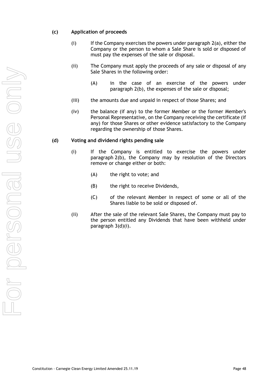### **(c) Application of proceeds**

- $(i)$  If the Company exercises the powers under paragraph  $2(a)$ , either the Company or the person to whom a Sale Share is sold or disposed of must pay the expenses of the sale or disposal.
- (ii) The Company must apply the proceeds of any sale or disposal of any Sale Shares in the following order:
	- (A) in the case of an exercise of the powers under paragraph [2\(b\),](#page-49-5) the expenses of the sale or disposal;
- (iii) the amounts due and unpaid in respect of those Shares; and
- (iv) the balance (if any) to the former Member or the former Member's Personal Representative, on the Company receiving the certificate (if any) for those Shares or other evidence satisfactory to the Company regarding the ownership of those Shares.

#### <span id="page-51-0"></span>**(d) Voting and dividend rights pending sale**

- (i) If the Company is entitled to exercise the powers under paragraph [2\(b\),](#page-49-5) the Company may by resolution of the Directors remove or change either or both:
	- (A) the right to vote; and
	- (B) the right to receive Dividends,
	- (C) of the relevant Member in respect of some or all of the Shares liable to be sold or disposed of.
- (ii) After the sale of the relevant Sale Shares, the Company must pay to the person entitled any Dividends that have been withheld under paragraph [3\(d\)\(i\).](#page-51-0)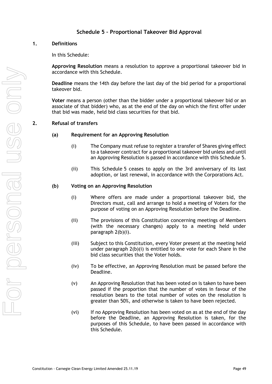## **Schedule 5 – Proportional Takeover Bid Approval**

#### <span id="page-52-0"></span>**1. Definitions**

In this Schedule:

**Approving Resolution** means a resolution to approve a proportional takeover bid in accordance with this Schedule.

**Deadline** means the 14th day before the last day of the bid period for a proportional takeover bid.

**Voter** means a person (other than the bidder under a proportional takeover bid or an associate of that bidder) who, as at the end of the day on which the first offer under that bid was made, held bid class securities for that bid.

#### **2. Refusal of transfers**

#### **(a) Requirement for an Approving Resolution**

- (i) The Company must refuse to register a transfer of Shares giving effect to a takeover contract for a proportional takeover bid unless and until an Approving Resolution is passed in accordance with this [Schedule](#page-52-0) 5.
- (ii) This [Schedule](#page-52-0) 5 ceases to apply on the 3rd anniversary of its last adoption, or last renewal, in accordance with the Corporations Act.

#### <span id="page-52-1"></span>**(b) Voting on an Approving Resolution**

- (i) Where offers are made under a proportional takeover bid, the Directors must, call and arrange to hold a meeting of Voters for the purpose of voting on an Approving Resolution before the Deadline.
- (ii) The provisions of this Constitution concerning meetings of Members (with the necessary changes) apply to a meeting held under paragraph [2\(b\)\(i\).](#page-52-1)
- (iii) Subject to this Constitution, every Voter present at the meeting held under paragraph [2\(b\)\(i\)](#page-52-1) is entitled to one vote for each Share in the bid class securities that the Voter holds.
- (iv) To be effective, an Approving Resolution must be passed before the Deadline.
- (v) An Approving Resolution that has been voted on is taken to have been passed if the proportion that the number of votes in favour of the resolution bears to the total number of votes on the resolution is greater than 50%, and otherwise is taken to have been rejected.
- (vi) If no Approving Resolution has been voted on as at the end of the day before the Deadline, an Approving Resolution is taken, for the purposes of this Schedule, to have been passed in accordance with this Schedule.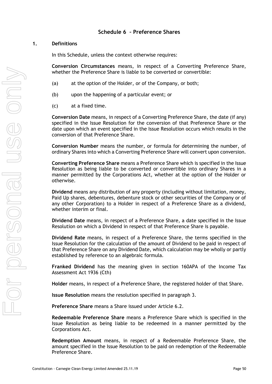## <span id="page-53-0"></span>**Schedule 6 – Preference Shares**

### **1. Definitions**

In this Schedule, unless the context otherwise requires:

**Conversion Circumstances** means, in respect of a Converting Preference Share, whether the Preference Share is liable to be converted or convertible:

- (a) at the option of the Holder, or of the Company, or both;
- (b) upon the happening of a particular event; or
- (c) at a fixed time.

**Conversion Date** means, in respect of a Converting Preference Share, the date (if any) specified in the Issue Resolution for the conversion of that Preference Share or the date upon which an event specified in the Issue Resolution occurs which results in the conversion of that Preference Share.

**Conversion Number** means the number, or formula for determining the number, of ordinary Shares into which a Converting Preference Share will convert upon conversion.

**Converting Preference Share** means a Preference Share which is specified in the Issue Resolution as being liable to be converted or convertible into ordinary Shares in a manner permitted by the Corporations Act, whether at the option of the Holder or otherwise.

**Dividend** means any distribution of any property (including without limitation, money, Paid Up shares, debentures, debenture stock or other securities of the Company or of any other Corporation) to a Holder in respect of a Preference Share as a dividend, whether interim or final.

**Dividend Date** means, in respect of a Preference Share, a date specified in the Issue Resolution on which a Dividend in respect of that Preference Share is payable.

**Dividend Rate** means, in respect of a Preference Share, the terms specified in the Issue Resolution for the calculation of the amount of Dividend to be paid in respect of that Preference Share on any Dividend Date, which calculation may be wholly or partly established by reference to an algebraic formula.

**Franked Dividend** has the meaning given in section 160APA of the Income Tax Assessment Act 1936 (Cth)

**Holder** means, in respect of a Preference Share, the registered holder of that Share.

**Issue Resolution** means the resolution specified in paragraph [3.](#page-54-0)

**Preference Share** means a Share issued under Article [6.2.](#page-8-3)

**Redeemable Preference Share** means a Preference Share which is specified in the Issue Resolution as being liable to be redeemed in a manner permitted by the Corporations Act.

**Redemption Amount** means, in respect of a Redeemable Preference Share, the amount specified in the Issue Resolution to be paid on redemption of the Redeemable Preference Share.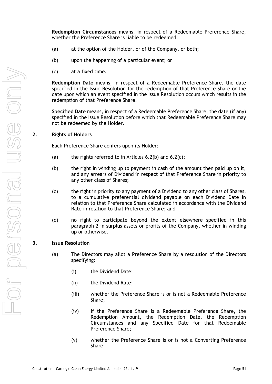**Redemption Circumstances** means, in respect of a Redeemable Preference Share, whether the Preference Share is liable to be redeemed:

- (a) at the option of the Holder, or of the Company, or both;
- (b) upon the happening of a particular event; or
- (c) at a fixed time.

**Redemption Date** means, in respect of a Redeemable Preference Share, the date specified in the Issue Resolution for the redemption of that Preference Share or the date upon which an event specified in the Issue Resolution occurs which results in the redemption of that Preference Share.

**Specified Date** means, in respect of a Redeemable Preference Share, the date (if any) specified in the Issue Resolution before which that Redeemable Preference Share may not be redeemed by the Holder.

#### **2. Rights of Holders**

Each Preference Share confers upon its Holder:

- (a) the rights referred to in Articles  $6.2(b)$  and  $6.2(c)$ ;
- (b) the right in winding up to payment in cash of the amount then paid up on it, and any arrears of Dividend in respect of that Preference Share in priority to any other class of Shares;
- (c) the right in priority to any payment of a Dividend to any other class of Shares, to a cumulative preferential dividend payable on each Dividend Date in relation to that Preference Share calculated in accordance with the Dividend Rate in relation to that Preference Share; and
- (d) no right to participate beyond the extent elsewhere specified in this paragraph 2 in surplus assets or profits of the Company, whether in winding up or otherwise.

#### <span id="page-54-0"></span>**3. Issue Resolution**

- (a) The Directors may allot a Preference Share by a resolution of the Directors specifying:
	- (i) the Dividend Date;
	- (ii) the Dividend Rate;
	- (iii) whether the Preference Share is or is not a Redeemable Preference Share;
	- (iv) if the Preference Share is a Redeemable Preference Share, the Redemption Amount, the Redemption Date, the Redemption Circumstances and any Specified Date for that Redeemable Preference Share;
	- (v) whether the Preference Share is or is not a Converting Preference Share;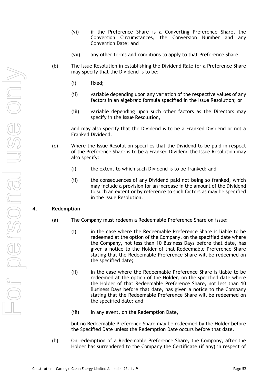- (vi) if the Preference Share is a Converting Preference Share, the Conversion Circumstances, the Conversion Number and any Conversion Date; and
- (vii) any other terms and conditions to apply to that Preference Share.
- (b) The Issue Resolution in establishing the Dividend Rate for a Preference Share may specify that the Dividend is to be:
	- (i) fixed;
	- (ii) variable depending upon any variation of the respective values of any factors in an algebraic formula specified in the Issue Resolution; or
	- (iii) variable depending upon such other factors as the Directors may specify in the Issue Resolution,

and may also specify that the Dividend is to be a Franked Dividend or not a Franked Dividend.

- (c) Where the Issue Resolution specifies that the Dividend to be paid in respect of the Preference Share is to be a Franked Dividend the Issue Resolution may also specify:
	- (i) the extent to which such Dividend is to be franked; and
	- (ii) the consequences of any Dividend paid not being so franked, which may include a provision for an increase in the amount of the Dividend to such an extent or by reference to such factors as may be specified in the Issue Resolution.

#### **4. Redemption**

- (a) The Company must redeem a Redeemable Preference Share on issue:
	- (i) in the case where the Redeemable Preference Share is liable to be redeemed at the option of the Company, on the specified date where the Company, not less than 10 Business Days before that date, has given a notice to the Holder of that Redeemable Preference Share stating that the Redeemable Preference Share will be redeemed on the specified date;
	- (ii) in the case where the Redeemable Preference Share is liable to be redeemed at the option of the Holder, on the specified date where the Holder of that Redeemable Preference Share, not less than 10 Business Days before that date, has given a notice to the Company stating that the Redeemable Preference Share will be redeemed on the specified date; and
	- (iii) in any event, on the Redemption Date,

but no Redeemable Preference Share may be redeemed by the Holder before the Specified Date unless the Redemption Date occurs before that date.

(b) On redemption of a Redeemable Preference Share, the Company, after the Holder has surrendered to the Company the Certificate (if any) in respect of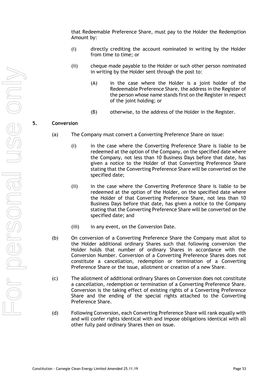that Redeemable Preference Share, must pay to the Holder the Redemption Amount by:

- (i) directly crediting the account nominated in writing by the Holder from time to time; or
- (ii) cheque made payable to the Holder or such other person nominated in writing by the Holder sent through the post to:
	- (A) in the case where the Holder is a joint holder of the Redeemable Preference Share, the address in the Register of the person whose name stands first on the Register in respect of the joint holding; or
	- (B) otherwise, to the address of the Holder in the Register.

#### **5. Conversion**

- (a) The Company must convert a Converting Preference Share on issue:
	- (i) in the case where the Converting Preference Share is liable to be redeemed at the option of the Company, on the specified date where the Company, not less than 10 Business Days before that date, has given a notice to the Holder of that Converting Preference Share stating that the Converting Preference Share will be converted on the specified date;
	- (ii) in the case where the Converting Preference Share is liable to be redeemed at the option of the Holder, on the specified date where the Holder of that Converting Preference Share, not less than 10 Business Days before that date, has given a notice to the Company stating that the Converting Preference Share will be converted on the specified date; and
	- (iii) in any event, on the Conversion Date.
- (b) On conversion of a Converting Preference Share the Company must allot to the Holder additional ordinary Shares such that following conversion the Holder holds that number of ordinary Shares in accordance with the Conversion Number. Conversion of a Converting Preference Shares does not constitute a cancellation, redemption or termination of a Converting Preference Share or the issue, allotment or creation of a new Share.
- (c) The allotment of additional ordinary Shares on Conversion does not constitute a cancellation, redemption or termination of a Converting Preference Share. Conversion is the taking effect of existing rights of a Converting Preference Share and the ending of the special rights attached to the Converting Preference Share.
- (d) Following Conversion, each Converting Preference Share will rank equally with and will confer rights identical with and impose obligations identical with all other fully paid ordinary Shares then on issue.